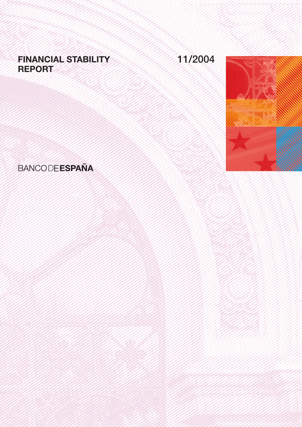# FINANCIAL STABILITY REPORT

# 11/2004



# **BANCODE ESPAÑA**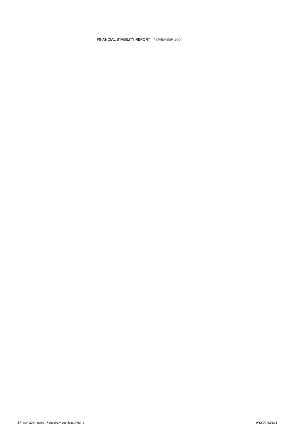## FINANCIAL STABILITY REPORT NOVEMBER 2004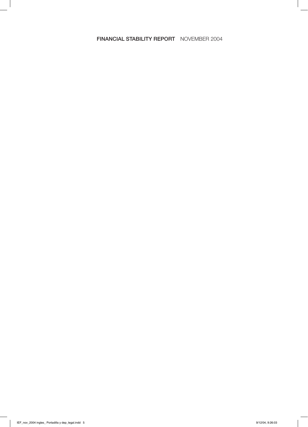# FINANCIAL STABILITY REPORT NOVEMBER 2004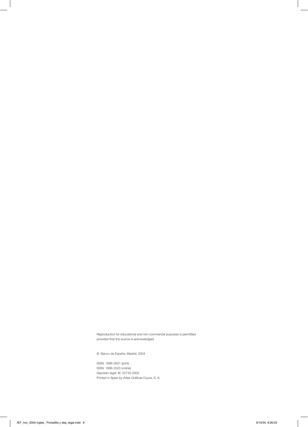Reproduction for educational and non-commercial purposes is permitted provided that the source is acknowledged.

© Banco de España, Madrid, 2004

ISSN: 1696-2621 (print) ISSN: 1696-3520 (online) Depósito legal: M. 52740-2002 Printed in Spain by Artes Gráficas Coyve, S. A.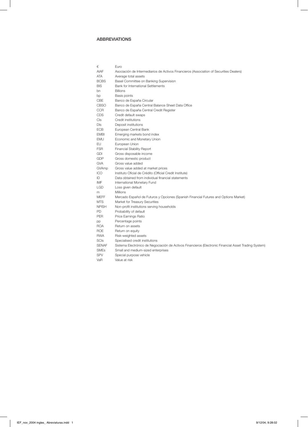# ABBREVIATIONS

| €            | Euro                                                                                                  |
|--------------|-------------------------------------------------------------------------------------------------------|
| <b>AIAF</b>  | Asociación de Intermediarios de Activos Financieros (Association of Securities Dealers)               |
| ATA          | Average total assets                                                                                  |
| <b>BCBS</b>  | Basel Committee on Banking Supervision                                                                |
| BIS          | <b>Bank for International Settlements</b>                                                             |
| bn           | <b>Billions</b>                                                                                       |
| bp           | Basis points                                                                                          |
| CBE          | Banco de España Circular                                                                              |
| <b>CBSO</b>  | Banco de España Central Balance Sheet Data Office                                                     |
| <b>CCR</b>   | Banco de España Central Credit Register                                                               |
| <b>CDS</b>   | Credit default swaps                                                                                  |
| Cls          | Credit institutions                                                                                   |
| DIs          | Deposit institutions                                                                                  |
| <b>ECB</b>   | European Central Bank                                                                                 |
| <b>EMBI</b>  | Emerging markets bond index                                                                           |
| EMU          | Economic and Monetary Union                                                                           |
| EU           | European Union                                                                                        |
| <b>FSR</b>   | <b>Financial Stability Report</b>                                                                     |
| <b>GDI</b>   | Gross disposable income                                                                               |
| GDP          | Gross domestic product                                                                                |
| <b>GVA</b>   | Gross value added                                                                                     |
| GVAmp        | Gross value added at market prices                                                                    |
| <b>ICO</b>   | Instituto Oficial de Crédito (Official Credit Institute)                                              |
| ID           | Data obtained from individual financial statements                                                    |
| IMF          | International Monetary Fund                                                                           |
| <b>LGD</b>   | Loss given default                                                                                    |
| m            | <b>Millions</b>                                                                                       |
| <b>MEFF</b>  | Mercado Español de Futuros y Opciones (Spanish Financial Futures and Options Market)                  |
| <b>MTS</b>   | Market for Treasury Securities                                                                        |
| <b>NPISH</b> | Non-profit institutions serving households                                                            |
| PD           | Probability of default                                                                                |
| <b>PER</b>   | Price Earnings Ratio                                                                                  |
| pp           | Percentage points                                                                                     |
| <b>ROA</b>   | Return on assets                                                                                      |
| <b>ROE</b>   | Return on equity                                                                                      |
| <b>RWA</b>   | Risk-weighted assets                                                                                  |
| <b>SCIs</b>  | Specialised credit institutions                                                                       |
| <b>SENAF</b> | Sistema Electrónico de Negociación de Activos Financieros (Electronic Financial Asset Trading System) |
| <b>SMEs</b>  | Small and medium-sized enterprises                                                                    |
| <b>SPV</b>   | Special purpose vehicle                                                                               |
| VaR          | Value at risk                                                                                         |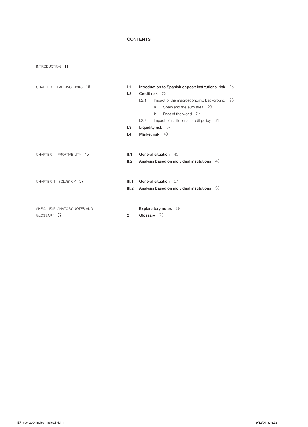# CONTENTS

INTRODUCTION 11

| CHAPTER I BANKING RISKS 15  | 1.1            | Introduction to Spanish deposit institutions' risk 15                   |     |
|-----------------------------|----------------|-------------------------------------------------------------------------|-----|
|                             | 1.2            | Credit risk 23                                                          |     |
|                             |                | 1.2.1<br>Impact of the macroeconomic background                         | -23 |
|                             |                | Spain and the euro area 23<br>a.                                        |     |
|                             |                | Rest of the world 27<br>b.                                              |     |
|                             |                | Impact of institutions' credit policy 31<br>1.2.2                       |     |
|                             | 1.3            | Liquidity risk $37$                                                     |     |
|                             | 1.4            | Market risk 40                                                          |     |
| CHAPTER II PROFITABILITY 45 | II.1<br>II.2   | General situation 45<br>Analysis based on individual institutions<br>48 |     |
| CHAPTER III SOLVENCY 57     | III.1          | General situation 57                                                    |     |
|                             | III.2          | Analysis based on individual institutions 58                            |     |
| ANEX. EXPLANATORY NOTES AND | 1              | <b>Explanatory notes</b><br>- 69                                        |     |
| GLOSSARY 67                 | $\overline{2}$ | Glossary 73                                                             |     |
|                             |                |                                                                         |     |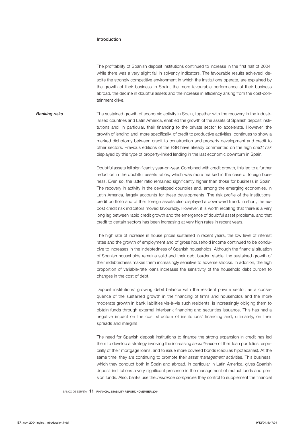#### Introduction

The profitability of Spanish deposit institutions continued to increase in the first half of 2004, while there was a very slight fall in solvency indicators. The favourable results achieved, despite the strongly competitive environment in which the institutions operate, are explained by the growth of their business in Spain, the more favourable performance of their business abroad, the decline in doubtful assets and the increase in efficiency arising from the cost-containment drive.

**Banking risks** The sustained growth of economic activity in Spain, together with the recovery in the industrialised countries and Latin America, enabled the growth of the assets of Spanish deposit institutions and, in particular, their financing to the private sector to accelerate. However, the growth of lending and, more specifically, of credit to productive activities, continues to show a marked dichotomy between credit to construction and property development and credit to other sectors. Previous editions of the FSR have already commented on the high *credit risk* displayed by this type of property-linked lending in the last economic downturn in Spain.

> Doubtful assets fell significantly year-on-year. Combined with credit growth, this led to a further reduction in the doubtful assets ratios, which was more marked in the case of foreign business. Even so, the latter ratio remained significantly higher than those for business in Spain. The recovery in activity in the developed countries and, among the emerging economies, in Latin America, largely accounts for these developments. The risk profile of the institutions' credit portfolio and of their foreign assets also displayed a downward trend. In short, the expost credit risk indicators moved favourably. However, it is worth recalling that there is a very long lag between rapid credit growth and the emergence of doubtful asset problems, and that credit to certain sectors has been increasing at very high rates in recent years.

> The high rate of increase in house prices sustained in recent years, the low level of interest rates and the growth of employment and of gross household income continued to be conducive to increases in the indebtedness of Spanish households. Although the financial situation of Spanish households remains solid and their debt burden stable, the sustained growth of their indebtedness makes them increasingly sensitive to adverse shocks. In addition, the high proportion of variable-rate loans increases the sensitivity of the household debt burden to changes in the cost of debt.

> Deposit institutions' growing debit balance with the resident private sector, as a consequence of the sustained growth in the financing of firms and households and the more moderate growth in bank liabilities vis-à-vis such residents, is increasingly obliging them to obtain funds through external interbank financing and securities issuance. This has had a negative impact on the cost structure of institutions' financing and, ultimately, on their spreads and margins.

> The need for Spanish deposit institutions to finance the strong expansion in credit has led them to develop a strategy involving the increasing *securitisation* of their loan portfolios, especially of their mortgage loans, and to issue more covered bonds (cédulas hipotecarias). At the same time, they are continuing to promote their *asset management* activities. This business, which they conduct both in Spain and abroad, in particular in Latin America, gives Spanish deposit institutions a very significant presence in the management of mutual funds and pension funds. Also, banks use the *insurance companies* they control to supplement the financial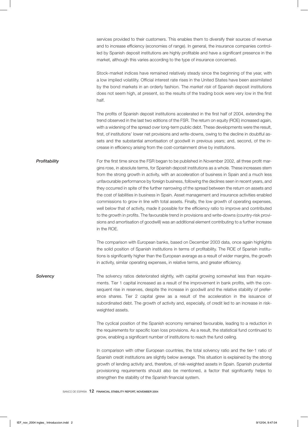services provided to their customers. This enables them to diversify their sources of revenue and to increase efficiency (economies of range). In general, the insurance companies controlled by Spanish deposit institutions are highly profitable and have a significant presence in the market, although this varies according to the type of insurance concerned.

Stock-market indices have remained relatively steady since the beginning of the year, with a low implied volatility. Official interest rate rises in the United States have been assimilated by the bond markets in an orderly fashion. The *market risk* of Spanish deposit institutions does not seem high, at present, so the results of the trading book were very low in the first half.

The profits of Spanish deposit institutions accelerated in the first half of 2004, extending the trend observed in the last two editions of the FSR. The return on equity (ROE) increased again, with a widening of the spread over long-term public debt. These developments were the result, first, of institutions' lower net provisions and write-downs, owing to the decline in doubtful assets and the substantial amortisation of goodwill in previous years; and, second, of the increase in efficiency arising from the cost-containment drive by institutions.

**Profitability** For the first time since the FSR began to be published in November 2002, all three profit margins rose, in absolute terms, for Spanish deposit institutions as a whole. These increases stem from the strong growth in activity, with an acceleration of business in Spain and a much less unfavourable performance by foreign business, following the declines seen in recent years, and they occurred in spite of the further narrowing of the spread between the return on assets and the cost of liabilities in business in Spain. Asset management and insurance activities enabled commissions to grow in line with total assets. Finally, the low growth of operating expenses, well below that of activity, made it possible for the efficiency ratio to improve and contributed to the growth in profits. The favourable trend in provisions and write-downs (country-risk provisions and amortisation of goodwill) was an additional element contributing to a further increase in the ROE.

> The comparison with European banks, based on December 2003 data, once again highlights the solid position of Spanish institutions in terms of profitability. The ROE of Spanish institutions is significantly higher than the European average as a result of wider margins, the growth in activity, similar operating expenses, in relative terms, and greater efficiency.

**Solvency** The solvency ratios deteriorated slightly, with capital growing somewhat less than requirements. Tier 1 capital increased as a result of the improvement in bank profits, with the consequent rise in reserves, despite the increase in goodwill and the relative stability of preference shares. Tier 2 capital grew as a result of the acceleration in the issuance of subordinated debt. The growth of activity and, especially, of credit led to an increase in riskweighted assets.

> The cyclical position of the Spanish economy remained favourable, leading to a reduction in the requirements for specific loan loss provisions. As a result, the statistical fund continued to grow, enabling a significant number of institutions to reach the fund ceiling.

> In comparison with other European countries, the total solvency ratio and the tier-1 ratio of Spanish credit institutions are slightly below average. This situation is explained by the strong growth of lending activity and, therefore, of risk-weighted assets in Spain. Spanish prudential provisioning requirements should also be mentioned, a factor that significantly helps to strengthen the stability of the Spanish financial system.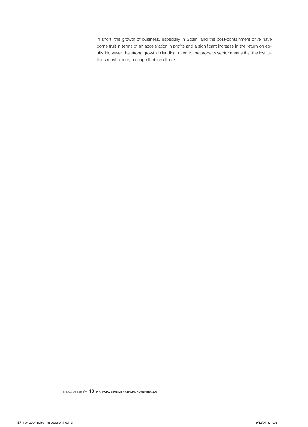In short, the growth of business, especially in Spain, and the cost-containment drive have borne fruit in terms of an acceleration in profits and a significant increase in the return on equity. However, the strong growth in lending linked to the property sector means that the institutions must closely manage their credit risk.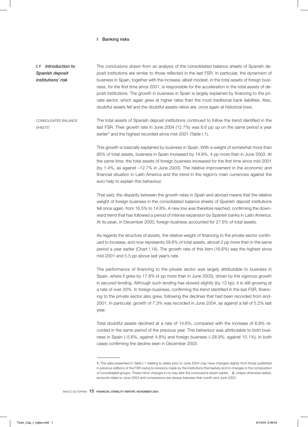#### I Banking risks

*I.1 Introduction to Spanish deposit institutions' risk* The conclusions drawn from an analysis of the consolidated balance sheets of Spanish deposit institutions are similar to those reflected in the last FSR. In particular, the dynamism of business in Spain, together with the increase, albeit modest, in the total assets of foreign business, for the first time since 2001, is responsible for the acceleration in the total assets of deposit institutions. The growth in business in Spain is largely explained by financing to the private sector, which again grew at higher rates than the most traditional bank liabilities. Also, doubtful assets fell and the doubtful assets ratios are, once again at historical lows.

CONSOLIDATED BALANCE SHEETS<sup>1</sup> The total assets of Spanish deposit institutions continued to follow the trend identified in the last FSR. Their growth rate in June 2004 (12.7%) was 6.6 pp up on the same period a year earlier $^2$  and the highest recorded since mid-2001 (Table I.1).

> This growth is basically explained by business in Spain. With a weight of somewhat more than 85% of total assets, business in Spain increased by 14.9%, 4 pp more than in June 2003. At the same time, the total assets of foreign business increased for the first time since mid-2001 (by 1.4%, as against –12.7% in June 2003). The relative improvement in the economic and financial situation in Latin America and the trend in the region's main currencies against the euro help to explain this behaviour.

> That said, the disparity between the growth rates in Spain and abroad means that the relative weight of foreign business in the consolidated balance sheets of Spanish deposit institutions fell once again, from 16.5% to 14.8%. A new low was therefore reached, confirming the downward trend that has followed a period of intense expansion by Spanish banks in Latin America. At its peak, in December 2000, foreign business accounted for 27.6% of total assets.

> As regards the structure of *assets,* the relative weight of financing to the private sector continued to increase, and now represents 59.8% of total assets, almost 2 pp more than in the same period a year earlier (Chart I.1A). The growth rate of this item (16.6%) was the highest since mid-2001 and 5.5 pp above last year's rate.

> The performance of financing to the private sector was largely attributable to business in Spain, where it grew by 17.8% (4 pp more than in June 2003), driven by the vigorous growth in secured lending. Although such lending has slowed slightly (by 13 bp), it is still growing at a rate of over 20%. In foreign business, confirming the trend identified in the last FSR, financing to the private sector also grew, following the declines that had been recorded from end-2001. In particular, growth of 7.3% was recorded in June 2004, as against a fall of 5.2% last year.

> Total doubtful assets declined at a rate of 14.6%, compared with the increase of 6.8% recorded in the same period of the previous year. This behaviour was attributable to both business in Spain (–5.6%, against 4.8%) and foreign business (–28.9%, against 10.1%), in both cases confirming the decline seen in December 2003.

<sup>1.</sup> The data presented in Table I.1 relating to dates prior to June 2004 may have changed slightly from those published in previous editions of the FSR owing to revisions made by the institutions themselves and to changes in the composition of consolidated groups. These minor changes in no way alter the conclusions drawn earlier. 2. Unless otherwise stated, amounts relate to June 2004 and comparisons are always between that month and June 2003.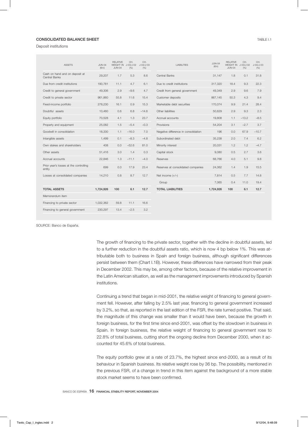### **CONSOLIDATED BALANCE SHEET TABLE 1.1 TABLE 1.1**

Deposit institutions

| <b>ASSETS</b>                                    | <b>JUN-04</b><br>$(\epsilon m)$ | <b>RELATIVE</b><br>WEIGHT IN J-03/J-02<br><b>JUN-04</b> | CH.<br>(%) | CH.<br>J-04/J-03<br>(% ) | <b>LIABILITIES</b>                   | <b>JUN-04</b><br>$(\epsilon m)$ | <b>RELATIVE</b><br>WEIGHT IN J-03/J-02<br><b>JUN-04</b> | CH.<br>(9/6) | CH.<br>$J - 04/J - 03$<br>(% ) |
|--------------------------------------------------|---------------------------------|---------------------------------------------------------|------------|--------------------------|--------------------------------------|---------------------------------|---------------------------------------------------------|--------------|--------------------------------|
| Cash on hand and on deposit at<br>Central Banks  | 29,207                          | 1.7                                                     | 5.3        | 8.6                      | Central Banks                        | 31,147                          | 1.8                                                     | 0.1          | 31.8                           |
| Due from credit institutions                     | 190,781                         | 11.1                                                    | 4.7        | 6.1                      | Due to credit institutions           | 317,320                         | 18.4                                                    | 9.3          | 22.3                           |
| Credit to general government                     | 49,306                          | 2.9                                                     | $-9.6$     | 4.7                      | Credit from general government       | 49,349                          | 2.9                                                     | 9.6          | 7.9                            |
| Credit to private sector                         | 961,860                         | 55.8                                                    | 11.6       | 15.4                     | Customer deposits                    | 867,145                         | 50.3                                                    | 4.3          | 9.4                            |
| Fixed-income portfolio                           | 278,230                         | 16.1                                                    | 0.9        | 15.3                     | Marketable debt securities           | 170.074                         | 9.9                                                     | 21.4         | 28.4                           |
| Doubtful assets                                  | 10,460                          | 0.6                                                     | 6.8        | $-14.6$                  | Other liabilities                    | 50.629                          | 2.9                                                     | 9.3          | 2.3                            |
| Equity portfolio                                 | 70,528                          | 4.1                                                     | 1.3        | 23.7                     | Accrual accounts                     | 19,808                          | 1.1                                                     | $-13.2$      | $-8.5$                         |
| Property and equipment                           | 25,082                          | 1.5                                                     | $-5.4$     | $-0.3$                   | Provisions                           | 54,204                          | 3.1                                                     | $-2.7$       | 3.7                            |
| Goodwill in consolidation                        | 18,330                          | 1.1                                                     | $-16.0$    | 7.0                      | Negative difference in consolidation | 196                             | 0.0                                                     | 67.9         | $-10.7$                        |
| Intangible assets                                | 1,499                           | 0.1                                                     | $-8.3$     | $-4.8$                   | Subordinated debt                    | 35,238                          | 2.0                                                     | 7.4          | 6.2                            |
| Own stakes and shareholders                      | 408                             | 0.0                                                     | $-52.6$    | 81.0                     | Minority interest                    | 20.031                          | 1.2                                                     | 1.2          | $-4.7$                         |
| Other assets                                     | 51.416                          | 3.0                                                     | 1.4        | 0.3                      | Capital stock                        | 9.080                           | 0.5                                                     | 2.7          | 3.6                            |
| Accrual accounts                                 | 22,846                          | 1.3                                                     | $-11.1$    | $-4.0$                   | Reserves                             | 68,766                          | 4.0                                                     | 5.1          | 9.8                            |
| Prior year's losses at the controlling<br>entity | 699                             | 0.0                                                     | 17.9       | 23.4                     | Reserves at consolidated companies   | 24,062                          | 1.4                                                     | 1.9          | 15.5                           |
| Losses at consolidated companies                 | 14,210                          | 0.8                                                     | 8.7        | 12.7                     | Net income $(+/-)$                   | 7.814                           | 0.5                                                     | 7.7          | 14.8                           |
|                                                  |                                 |                                                         |            |                          | Group                                | 7,065                           | 0.4                                                     | 11.0         | 19.4                           |
| <b>TOTAL ASSETS</b>                              | 1.724.926                       | 100                                                     | 6.1        | 12.7                     | <b>TOTAL LIABILITIES</b>             | 1,724,926                       | 100                                                     | 6.1          | 12.7                           |
| Memorandum item                                  |                                 |                                                         |            |                          |                                      |                                 |                                                         |              |                                |
| Financing to private sector                      | 1.032.362                       | 59.8                                                    | 11.1       | 16.6                     |                                      |                                 |                                                         |              |                                |
| Financing to general government                  | 230.297                         | 13.4                                                    | $-2.5$     | 3.2                      |                                      |                                 |                                                         |              |                                |
|                                                  |                                 |                                                         |            |                          |                                      |                                 |                                                         |              |                                |

SOURCE: Banco de España.

The growth of financing to the private sector, together with the decline in doubtful assets, led to a further reduction in the doubtful assets ratio, which is now 4 bp below 1%. This was attributable both to business in Spain and foreign business, although significant differences persist between them (Chart I.1B). However, these differences have narrowed from their peak in December 2002. This may be, among other factors, because of the relative improvement in the Latin American situation, as well as the management improvements introduced by Spanish institutions.

Continuing a trend that began in mid-2001, the relative weight of financing to general government fell. However, after falling by 2.5% last year, financing to general government increased by 3.2%, so that, as reported in the last edition of the FSR, the rate turned positive. That said, the magnitude of this change was smaller than it would have been, because the growth in foreign business, for the first time since end-2001, was offset by the slowdown in business in Spain. In foreign business, the relative weight of financing to general government rose to 22.8% of total business, cutting short the ongoing decline from December 2000, when it accounted for 45.6% of total business.

The equity portfolio grew at a rate of 23.7%, the highest since end-2000, as a result of its behaviour in Spanish business. Its relative weight rose by 36 bp. The possibility, mentioned in the previous FSR, of a change in trend in this item against the background of a more stable stock market seems to have been confirmed.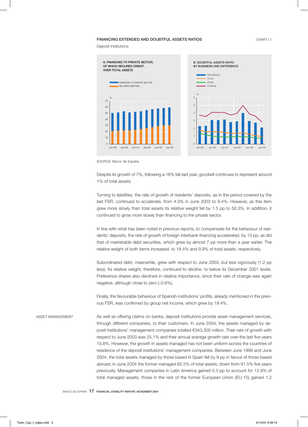#### FINANCING EXTENDED AND DOUBTFUL ASSETS RATIOS CHART I.1

Deposit institutions



SOURCE: Banco de España.

Despite its growth of 7%, following a 16% fall last year, goodwill continues to represent around 1% of total assets.

Turning to *liabilities,* the rate of growth of residents' deposits, as in the period covered by the last FSR, continued to accelerate, from 4.3% in June 2003 to 9.4%. However, as this item grew more slowly than total assets its relative weight fell by 1.5 pp to 50.3%. In addition, it continued to grow more slowly than financing to the private sector.

In line with what has been noted in previous reports, to compensate for the behaviour of residents' deposits, the rate of growth of foreign interbank financing accelerated, by 13 pp, as did that of marketable debt securities, which grew by almost 7 pp more than a year earlier. The relative weight of both items increased, to 18.4% and 9.9% of total assets, respectively.

Subordinated debt, meanwhile, grew with respect to June 2003, but less vigorously (1.2 pp less). Its relative weight, therefore, continued to decline, to below its December 2001 levels. Preference shares also declined in relative importance, since their rate of change was again negative, although close to zero (–0.6%).

Finally, the favourable behaviour of Spanish institutions' profits, already mentioned in the previous FSR, was confirmed by group net income, which grew by 19.4%.

ASSET MANAGEMENT As well as offering claims on banks, deposit institutions provide asset management services, through different companies, to their customers. In June 2004, the assets managed by deposit institutions' management companies totalled €343,300 million. Their rate of growth with respect to June 2003 was 25.1% and their annual average growth rate over the last five years 10.8%. However, the growth in assets managed has not been uniform across the countries of residence of the deposit institutions' management companies. Between June 1999 and June 2004, the total assets managed by those based in Spain fell by 9 pp in favour of those based abroad; in June 2004 the former managed 82.5% of total assets, down from 91.5% five years previously. Management companies in Latin America gained 5.3 pp to account for 12.9% of total managed assets, those in the rest of the former European Union (EU-15) gained 1.2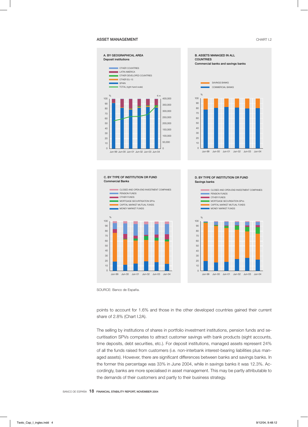#### ASSET MANAGEMENT **CHART I.2**



SOURCE: Banco de España.



The selling by institutions of shares in portfolio investment institutions, pension funds and securitisation SPVs competes to attract customer savings with bank products (sight accounts, time deposits, debt securities, etc.). For deposit institutions, managed assets represent 24% of all the funds raised from customers (i.e. non-interbank interest-bearing liabilities plus managed assets). However, there are significant differences between banks and savings banks. In the former this percentage was 33% in June 2004, while in savings banks it was 12.3%. Accordingly, banks are more specialised in asset management. This may be partly attributable to the demands of their customers and partly to their business strategy.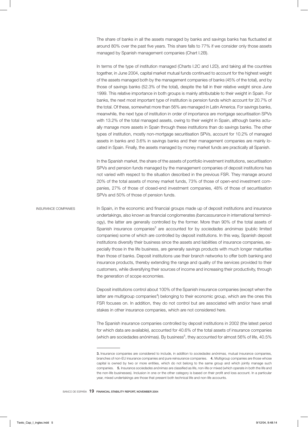The share of banks in all the assets managed by banks and savings banks has fluctuated at around 80% over the past five years. This share falls to 77% if we consider only those assets managed by Spanish management companies (Chart I.2B).

In terms of the type of institution managed (Charts I.2C and I.2D), and taking all the countries together, in June 2004, capital market mutual funds continued to account for the highest weight of the assets managed both by the management companies of banks (45% of the total), and by those of savings banks (52.3% of the total), despite the fall in their relative weight since June 1999. This relative importance in both groups is mainly attributable to their weight in Spain. For banks, the next most important type of institution is pension funds which account for 20.7% of the total. Of these, somewhat more than 56% are managed in Latin America. For savings banks, meanwhile, the next type of institution in order of importance are mortgage securitisation SPVs with 13.2% of the total managed assets, owing to their weight in Spain, although banks actually manage more assets in Spain through these institutions than do savings banks. The other types of institution, mostly non-mortgage securitisation SPVs, account for 10.2% of managed assets in banks and 3.6% in savings banks and their management companies are mainly located in Spain. Finally, the assets managed by money market funds are practically all Spanish.

In the Spanish market, the share of the assets of portfolio investment institutions, securitisation SPVs and pension funds managed by the management companies of deposit institutions has not varied with respect to the situation described in the previous FSR. They manage around 20% of the total assets of money market funds, 73% of those of open-end investment companies, 27% of those of closed-end investment companies, 48% of those of securitisation SPVs and 50% of those of pension funds.

INSURANCE COMPANIES In Spain, in the economic and financial groups made up of deposit institutions and insurance undertakings, also known as financial conglomerates *(bancassurance* in international terminology), the latter are generally controlled by the former. More than 90% of the total assets of Spanish insurance companies<sup>3</sup> are accounted for by so*ciedades anónimas* (public limited companies) some of which are controlled by deposit institutions. In this way, Spanish deposit institutions diversify their business since the assets and liabilities of insurance companies, especially those in the life business, are generally savings products with much longer maturities than those of banks. Deposit institutions use their branch networks to offer both banking and insurance products, thereby extending the range and quality of the services provided to their customers, while diversifying their sources of income and increasing their productivity, through the generation of scope economies.

> Deposit institutions control about 100% of the Spanish insurance companies (except when the latter are multigroup companies<sup>4</sup>) belonging to their economic group, which are the ones this FSR focuses on. In addition, they do not control but are associated with and/or have small stakes in other insurance companies, which are not considered here.

> The Spanish insurance companies controlled by deposit institutions in 2002 (the latest period for which data are available), accounted for 40.6% of the total assets of insurance companies (which are sociedades anónimas). By business $^5$ , they accounted for almost 56% of life, 40.5%

<sup>3.</sup> Insurance companies are considered to include, in addition to *sociedades anónimas,* mutual insurance companies, branches of non-EU insurance companies and pure reinsurance companies. 4. Multigroup companies are those whose capital is owned by two or more entities, which do not belong to the same group and which jointly manage such companies. 5. Insurance *sociedades anónimas* are classified as life, non-life or mixed (which operate in both the life and the non-life businesses). Inclusion in one or the other category is based on their profit and loss account. In a particular year, mixed undertakings are those that present both technical life and non-life accounts.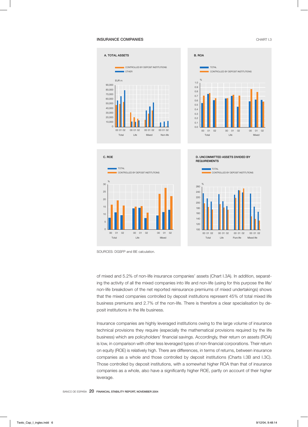#### **INSURANCE COMPANIES** CHART I.3











of mixed and 5.2% of non-life insurance companies' assets (Chart I.3A). In addition, separating the activity of all the mixed companies into life and non-life (using for this purpose the life/ non-life breakdown of the net reported reinsurance premiums of mixed undertakings) shows that the mixed companies controlled by deposit institutions represent 45% of total mixed life business premiums and 2.7% of the non-life. There is therefore a clear specialisation by deposit institutions in the life business.

Insurance companies are highly leveraged institutions owing to the large volume of insurance technical provisions they require (especially the mathematical provisions required by the life business) which are policyholders' financial savings. Accordingly, their return on assets (ROA) is low, in comparison with other less leveraged types of non-financial corporations. Their return on equity (ROE) is relatively high. There are differences, in terms of returns, between insurance companies as a whole and those controlled by deposit institutions (Charts I.3B and I.3C). Those controlled by deposit institutions, with a somewhat higher ROA than that of insurance companies as a whole, also have a significantly higher ROE, partly on account of their higher leverage.

SOURCES: DGSFP and BE calculation.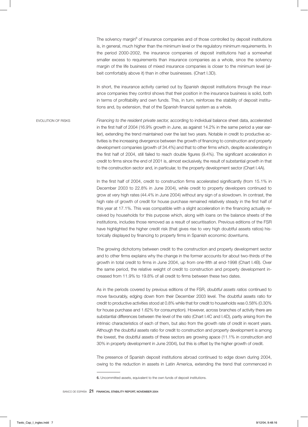The solvency margin<sup>6</sup> of insurance companies and of those controlled by deposit institutions is, in general, much higher than the minimum level or the regulatory minimum requirements. In the period 2000-2002, the insurance companies of deposit institutions had a somewhat smaller excess to requirements than insurance companies as a whole, since the solvency margin of the life business of mixed insurance companies is closer to the minimum level (albeit comfortably above it) than in other businesses. (Chart I.3D).

In short, the insurance activity carried out by Spanish deposit institutions through the insurance companies they control shows that their position in the insurance business is solid, both in terms of profitability and own funds. This, in turn, reinforces the stability of deposit institutions and, by extension, that of the Spanish financial system as a whole.

EVOLUTION OF RISKS *Financing to the resident private sector,* according to individual balance sheet data, accelerated in the first half of 2004 (16.9% growth in June, as against 14.2% in the same period a year earlier), extending the trend maintained over the last two years. Notable in credit to productive activities is the increasing divergence between the growth of financing to construction and property development companies (growth of 34.4%) and that to other firms which, despite accelerating in the first half of 2004, still failed to reach double figures (9.4%). The significant acceleration in credit to firms since the end of 2001 is, almost exclusively, the result of substantial growth in that to the construction sector and, in particular, to the property development sector (Chart I.4A).

> In the first half of 2004, credit to construction firms accelerated significantly (from 15.1% in December 2003 to 22.8% in June 2004), while credit to property developers continued to grow at very high rates (44.4% in June 2004) without any sign of a slowdown. In contrast, the high rate of growth of credit for house purchase remained relatively steady in the first half of this year at 17.1%. This was compatible with a slight acceleration in the financing actually received by households for this purpose which, along with loans on the balance sheets of the institutions, includes those removed as a result of securitisation. Previous editions of the FSR have highlighted the higher credit risk (that gives rise to very high doubtful assets ratios) historically displayed by financing to property firms in Spanish economic downturns.

> The growing dichotomy between credit to the construction and property development sector and to other firms explains why the change in the former accounts for about two-thirds of the growth in total credit to firms in June 2004, up from one-fifth at end-1998 (Chart I.4B). Over the same period, the relative weight of credit to construction and property development increased from 11.9% to 19.8% of all credit to firms between these two dates.

> As in the periods covered by previous editions of the FSR, *doubtful assets ratios* continued to move favourably, edging down from their December 2003 level. The doubtful assets ratio for credit to productive activities stood at 0.8% while that for credit to households was 0.58% (0.30% for house purchase and 1.62% for consumption). However, across branches of activity there are substantial differences between the level of the ratio (Chart I.4C and I.4D), partly arising from the intrinsic characteristics of each of them, but also from the growth rate of credit in recent years. Although the doubtful assets ratio for credit to construction and property development is among the lowest, the doubtful assets of these sectors are growing apace (11.1% in construction and 30% in property development in June 2004), but this is offset by the higher growth of credit.

> The presence of Spanish deposit institutions abroad continued to edge down during 2004, owing to the reduction in assets in Latin America, extending the trend that commenced in

<sup>6.</sup> Uncommitted assets, equivalent to the own funds of deposit institutions.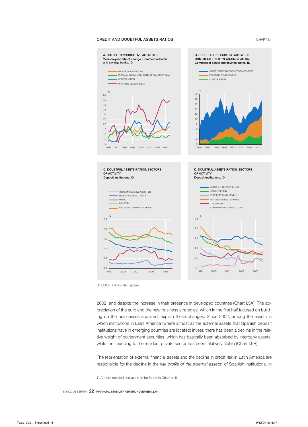#### CREDIT AND DOUBTFUL ASSETS RATIOS CHART I.4



SOURCE: Banco de España.

2002, and despite the increase in their presence in developed countries (Chart I.5A). The appreciation of the euro and the new business strategies, which in the first half focused on building up the businesses acquired, explain these changes. Since 2002, among the assets in which institutions in Latin America (where almost all the external assets that Spanish deposit institutions have in emerging countries are located) invest, there has been a decline in the relative weight of government securities, which has basically been absorbed by interbank assets, while the financing to the resident private sector has been relatively stable (Chart I.5B).

The reorientation of external financial assets and the decline in credit risk in Latin America are responsible for the decline in the *risk profile of the external assets*<sup>7</sup> of Spanish institutions. In

<sup>7.</sup> A more detailed analysis is to be found in Chapter III.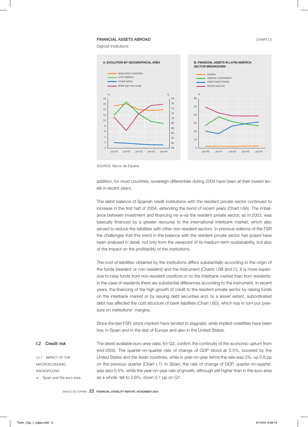#### **FINANCIAL ASSETS ABROAD CHART I.5**

Deposit institutions



SOURCE: Banco de España.

addition, for most countries, sovereign differentials during 2004 have been at their lowest levels in recent years.

The *debit balance* of Spanish credit institutions with the *resident private sector* continued to increase in the first half of 2004, extending the trend of recent years (Chart I.6A). The imbalance between investment and financing vis-à-vis the resident private sector, as in 2003, was basically financed by a greater recourse to the international interbank market, which also served to reduce the liabilities with other non-resident sectors. In previous editions of the FSR the challenges that this trend in the balance with the resident private sector has posed have been analysed in detail, not only from the viewpoint of its medium-term sustainability, but also of the impact on the profitability of the institutions.

The *cost of liabilities* obtained by the institutions differs substantially according to the origin of the funds (resident or non-resident) and the instrument (Charts I.6B and C). It is more expensive to raise funds from non-resident creditors or on the interbank market than from residents. In the case of residents there are substantial differences according to the instrument. In recent years, the financing of the high growth of credit to the resident private sector by raising funds on the interbank market or by issuing debt securities and, to a lesser extent, subordinated debt has affected the cost structure of bank liabilities (Chart I.6D), which has in turn put pressure on institutions' margins.

Since the last FSR, *stock markets* have tended to stagnate, while implied volatilities have been low, in Spain and in the rest of Europe and also in the United States.

*I.2 Credit risk*

I.2.1 IMPACT OF THE **MACROECONOMIC** BACKGROUND a. Spain and the euro area The latest available *euro area* data, for Q2, confirm the continuity of the economic upturn from end-2003. The quarter-on-quarter rate of change of GDP stood at 0.5%, boosted by the United States and the Asian countries, while in year-on-year terms the rate was 2%, up 0.6 pp on the previous quarter (Chart I.7). In *Spain,* the rate of change of GDP, quarter-on-quarter, was also 0.5%, while the year-on-year rate of growth, although still higher than in the euro area as a whole, fell to 2.6%, down 0.1 pp on Q1.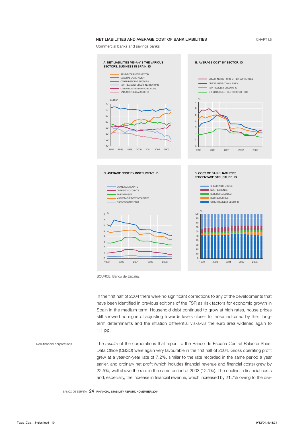#### NET LIABILITIES AND AVERAGE COST OF BANK LIABILITIES

CHART I.6

Commercial banks and savings banks



SOURCE: Banco de España.

In the first half of 2004 there were no significant corrections to any of the developments that have been identified in previous editions of the FSR as risk factors for economic growth in Spain in the medium term. Household debt continued to grow at high rates, house prices still showed no signs of adjusting towards levels closer to those indicated by their longterm determinants and the inflation differential vis-à-vis the euro area widened again to 1.1 pp.

Non-financial corporations The *results* of the corporations that report to the Banco de España Central Balance Sheet Data Office (CBSO) were again very favourable in the first half of 2004. Gross operating profit grew at a year-on-year rate of 7.2%, similar to the rate recorded in the same period a year earlier, and ordinary net profit (which includes financial revenue and financial costs) grew by 22.5%, well above the rate in the same period of 2003 (12.1%). The decline in financial costs and, especially, the increase in financial revenue, which increased by 21.7% owing to the divi-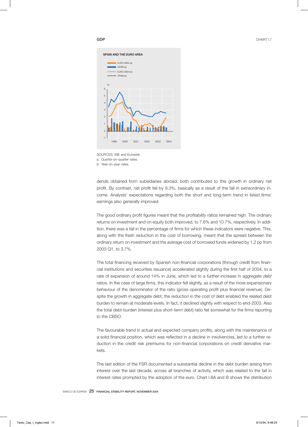#### GDP





dends obtained from subsidiaries abroad, both contributed to this growth in ordinary net profit. By contrast, net profit fell by 9.3%, basically as a result of the fall in extraordinary income. Analysts' expectations regarding both the short and long-term trend in listed firms' earnings also generally improved.

The good ordinary profit figures meant that the *profitability* ratios remained high. The ordinary returns on investment and on equity both improved, to 7.6% and 10.7%, respectively. In addition, there was a fall in the percentage of firms for which these indicators were negative. This, along with the fresh reduction in the cost of borrowing, meant that the spread between the ordinary return on investment and the average cost of borrowed funds widened by 1.2 pp from 2003 Q1, to 3.7%.

The total financing received by Spanish non-financial corporations (through credit from financial institutions and securities issuance) accelerated slightly during the first half of 2004, to a rate of expansion of around 14% in June, which led to a further increase in aggregate *debt* ratios. In the case of large firms, this indicator fell slightly, as a result of the more expansionary behaviour of the denominator of the ratio (gross operating profit plus financial revenue). Despite the growth in aggregate debt, the reduction in the cost of debt enabled the related debt burden to remain at moderate levels. In fact, it declined slightly with respect to end-2003. Also the total debt-burden (interest plus short-term debt) ratio fell somewhat for the firms reporting to the CBSO.

The favourable trend in actual and expected company profits, along with the maintenance of a solid financial position, which was reflected in a decline in insolvencies, led to a further reduction in the credit risk premiums for non-financial corporations on credit derivative markets.

The last edition of the FSR documented a substantial decline in the debt burden arising from interest over the last decade, across all branches of activity, which was related to the fall in interest rates prompted by the adoption of the euro. Chart I.8A and B shows the distribution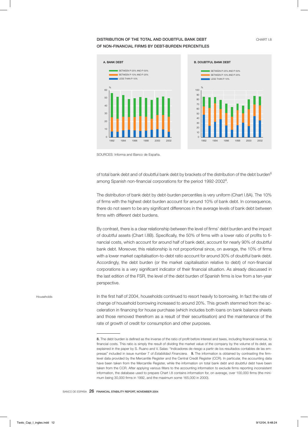# DISTRIBUTION OF THE TOTAL AND DOUBTFUL BANK DEBT CHART I.8 OF NON-FINANCIAL FIRMS BY DEBT-BURDEN PERCENTILES





SOURCES: Informa and Banco de España.

of total bank debt and of doubtful bank debt by brackets of the distribution of the debt burden<sup>8</sup> among Spanish non-financial corporations for the period 1992-2002 $^{\circ}$ .

The distribution of bank debt by debt-burden percentiles is very uniform (Chart I.8A). The 10% of firms with the highest debt burden account for around 10% of bank debt. In consequence, there do not seem to be any significant differences in the average levels of bank debt between firms with different debt burdens.

By contrast, there is a clear relationship between the level of firms' debt burden and the impact of doubtful assets (Chart I.8B). Specifically, the 50% of firms with a lower ratio of profits to financial costs, which account for around half of bank debt, account for nearly 90% of doubtful bank debt. Moreover, this relationship is not proportional since, on average, the 10% of firms with a lower market capitalisation-to-debt ratio account for around 30% of doubtful bank debt. Accordingly, the debt burden (or the market capitalisation relative to debt) of non-financial corporations is a very significant indicator of their financial situation. As already discussed in the last edition of the FSR, the level of the debt burden of Spanish firms is low from a ten-year perspective.

Households In the first half of 2004, households continued to resort heavily to borrowing. In fact the rate of change of household borrowing increased to around 20%. This growth stemmed from the acceleration in financing for house purchase (which includes both loans on bank balance sheets and those removed therefrom as a result of their securitisation) and the maintenance of the rate of growth of credit for consumption and other purposes.

<sup>8.</sup> The debt burden is defined as the inverse of the ratio of profit before interest and taxes, including financial revenue, to financial costs. This ratio is simply the result of dividing the market value of the company by the volume of its debt, as explained in the paper by S. Ruano and V. Salas: "Indicadores de riesgo a partir de los resultados contables de las empresas" included in issue number 7 of *Estabilidad Financiera.* 9. The information is obtained by contrasting the firmlevel data provided by the Mercantile Register and the Central Credit Register (CCR). In particular, the accounting data have been taken from the Mercantile Register, while the information on total bank debt and doubtful debt have been taken from the CCR. After applying various filters to the accounting information to exclude firms reporting inconsistent information, the database used to prepare Chart I.8 contains information for, on average, over 100,000 firms (the minimum being 30,000 firms in 1992, and the maximum some 165,000 in 2000).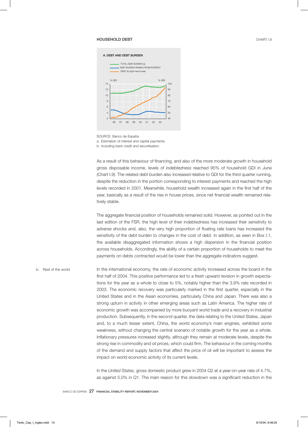#### **HOUSEHOLD DEBT** CHART I.9



SOURCE: Banco de España.

a. Estimation of interest and capital payments.

b. Including bank credit and securitisation.

As a result of this behaviour of financing, and also of the more moderate growth in household gross disposable income, levels of *indebtedness* reached 95% of household GDI in June (Chart I.9). The related debt burden also increased relative to GDI for the third quarter running, despite the reduction in the portion corresponding to interest payments and reached the high levels recorded in 2001. Meanwhile, household wealth increased again in the first half of the year, basically as a result of the rise in house prices, since net financial wealth remained relatively stable.

The aggregate financial position of households remained solid. However, as pointed out in the last edition of the FSR, the high level of their indebtedness has increased their sensitivity to adverse shocks and, also, the very high proportion of floating rate loans has increased the sensitivity of the debt burden to changes in the cost of debt. In addition, as seen in Box I.1, the available disaggregated information shows a high dispersion in the financial position across households. Accordingly, the ability of a certain proportion of households to meet the payments on debts contracted would be lower than the aggregate indicators suggest.

b. Rest of the world **In the international economy, the rate of economic activity increased across the board in the** first half of 2004. This positive performance led to a fresh upward revision in growth expectations for the year as a whole to close to 5%, notably higher than the 3.9% rate recorded in 2003. The economic recovery was particularly marked in the first quarter, especially in the United States and in the Asian economies, particularly China and Japan. There was also a strong upturn in activity in other emerging areas such as Latin America. The higher rate of economic growth was accompanied by more buoyant world trade and a recovery in industrial production. Subsequently, in the second quarter, the data relating to the United States, Japan and, to a much lesser extent, China, the world economy's main engines, exhibited some weakness, without changing the central scenario of notable growth for the year as a whole. Inflationary pressures increased slightly, although they remain at moderate levels, despite the strong rise in commodity and oil prices, which could firm. The behaviour in the coming months of the demand and supply factors that affect the price of oil will be important to assess the impact on world economic activity of its current levels.

> In the *United States,* gross domestic product grew in 2004 Q2 at a year-on-year rate of 4.7%, as against 5.0% in Q1. The main reason for this slowdown was a significant reduction in the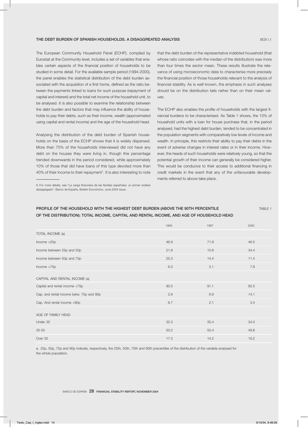The European Community Household Panel (ECHP), compiled by Eurostat at the Community level, includes a set of variables that enables certain aspects of the financial position of households to be studied in some detail. For the available sample period (1994-2000), the panel enables the statistical distribution of the debt burden associated with the acquisition of a first home, defined as the ratio between the payments linked to loans for such purpose (repayment of capital and interest) and the total net income of the household unit, to be analysed. It is also possible to examine the relationship between the debt burden and factors that may influence the ability of households to pay their debts, such as their income, wealth (approximated using capital and rental income) and the age of the household head.

Analysing the distribution of the debt burden of Spanish households on the basis of the ECHP shows that it is widely dispersed. More than 75% of the households interviewed did not have any debt on the houses they were living in, though this percentage trended downwards in the period considered, while approximately 10% of those that did have loans of this type devoted more than 40% of their income to their repayment<sup>1</sup>. It is also interesting to note that the debt burden of the representative indebted household (that whose ratio coincides with the median of the distribution) was more than four times the sector mean. These results illustrate the relevance of using microeconomic data to characterise more precisely the financial position of those households relevant to the analysis of financial stability. As is well known, the emphasis in such analyses should be on the distribution tails rather than on their mean values.

The ECHP also enables the profile of households with the largest financial burdens to be characterised. As Table 1 shows, the 10% of household units with a loan for house purchase that, in the period analysed, had the highest debt burden, tended to be concentrated in the population segments with comparatively low levels of income and wealth. In principle, this restricts their ability to pay their debts in the event of adverse changes in interest rates or in their income. However, the heads of such households were relatively young, so that the potential growth of their income can generally be considered higher. This would be conducive to their access to additional financing in credit markets in the event that any of the unfavourable developments referred to above take place.

## PROFILE OF THE HOUSEHOLD WITH THE HIGHEST DEBT BURDEN (ABOVE THE 90TH PERCENTILE TABLE 1 TABLE 1 OF THE DISTRIBUTION): TOTAL INCOME, CAPITAL AND RENTAL INCOME, AND AGE OF HOUSEHOLD HEAD

|                                          | 1994 | 1997 | 2000 |
|------------------------------------------|------|------|------|
| TOTAL INCOME (a)                         |      |      |      |
| Income $<$ 25 $p$                        | 46.9 | 71.8 | 46.5 |
| Income between 25p and 50p               | 21.8 | 10.8 | 34.4 |
| Income between 50p and 75p               | 25.3 | 14.4 | 11.4 |
| lncome > 75p                             | 6.0  | 3.1  | 7.8  |
| CAPITAL AND RENTAL INCOME (a)            |      |      |      |
| Capital and rental income <75p           | 90.5 | 91.1 | 82.5 |
| Cap. and rental income betw. 75p and 90p | 2.8  | 6.9  | 14.1 |
| Cap. And rental income >90p              | 6.7  | 2.1  | 3.4  |
| AGE OF FAMILY HEAD                       |      |      |      |
| Under 35                                 | 32.3 | 35.4 | 34.0 |
| $35 - 55$                                | 50.2 | 50.4 | 49.8 |
| Over 55                                  | 17.5 | 14.2 | 16.2 |

a. 25p, 50p, 75p and 90p indicate, respectively, the 25th, 50th, 75th and 90th precentiles of the distribution of the variable analysed for the whole population.

<sup>1.</sup> For more details, see "La carga financiera de las familias españolas: un primer análisis desagregado", Banco de España, Boletín Económico, June 2004 issue.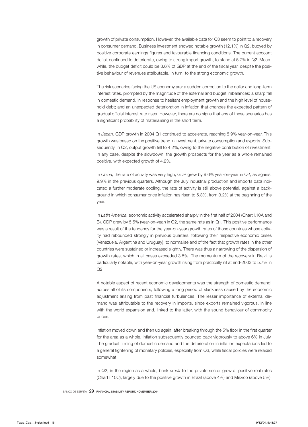growth of private consumption. However, the available data for Q3 seem to point to a recovery in consumer demand. Business investment showed notable growth (12.1%) in Q2, buoyed by positive corporate earnings figures and favourable financing conditions. The current account deficit continued to deteriorate, owing to strong import growth, to stand at 5.7% in Q2. Meanwhile, the budget deficit could be 3.6% of GDP at the end of the fiscal year, despite the positive behaviour of revenues attributable, in turn, to the strong economic growth.

The risk scenarios facing the US economy are: a sudden correction to the dollar and long-term interest rates, prompted by the magnitude of the external and budget imbalances; a sharp fall in domestic demand, in response to hesitant employment growth and the high level of household debt; and an unexpected deterioration in inflation that changes the expected pattern of gradual official interest rate rises. However, there are no signs that any of these scenarios has a significant probability of materialising in the short term.

In *Japan,* GDP growth in 2004 Q1 continued to accelerate, reaching 5.9% year-on-year. This growth was based on the positive trend in investment, private consumption and exports. Subsequently, in Q2, output growth fell to 4.2%, owing to the negative contribution of investment. In any case, despite the slowdown, the growth prospects for the year as a whole remained positive, with expected growth of 4.2%.

In *China,* the rate of activity was very high; GDP grew by 9.6% year-on-year in Q2, as against 9.9% in the previous quarters. Although the July industrial production and imports data indicated a further moderate cooling, the rate of activity is still above potential, against a background in which consumer price inflation has risen to 5.3%, from 3.2% at the beginning of the year.

In *Latin America,* economic activity accelerated sharply in the first half of 2004 (Chart I.10A and B). GDP grew by 5.5% (year-on-year) in Q2, the same rate as in Q1. This positive performance was a result of the tendency for the year-on-year growth rates of those countries whose activity had rebounded strongly in previous quarters, following their respective economic crises (Venezuela, Argentina and Uruguay), to normalise and of the fact that growth rates in the other countries were sustained or increased slightly. There was thus a narrowing of the dispersion of growth rates, which in all cases exceeded 3.5%. The momentum of the recovery in Brazil is particularly notable, with year-on-year growth rising from practically nil at end-2003 to 5.7% in  $Q2$ .

A notable aspect of recent economic developments was the strength of domestic demand, across all of its components, following a long period of slackness caused by the economic adjustment arising from past financial turbulences. The lesser importance of external demand was attributable to the recovery in imports, since exports remained vigorous, in line with the world expansion and, linked to the latter, with the sound behaviour of commodity prices.

Inflation moved down and then up again; after breaking through the 5% floor in the first quarter for the area as a whole, inflation subsequently bounced back vigorously to above 6% in July. The gradual firming of domestic demand and the deterioration in inflation expectations led to a general tightening of monetary policies, especially from Q3, while fiscal policies were relaxed somewhat.

In Q2, in the region as a whole, bank *credit* to the private sector grew at positive real rates (Chart I.10C), largely due to the positive growth in Brazil (above 4%) and Mexico (above 5%),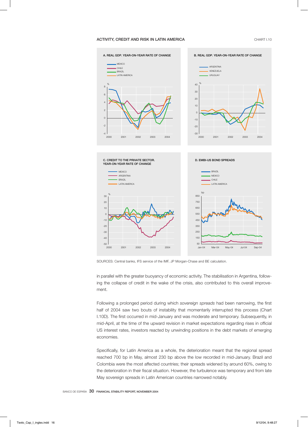#### ACTIVITY, CREDIT AND RISK IN LATIN AMERICA **CHART I.10** CHART I.10



SOURCES: Central banks, IFS service of the IMF, JP Morgan-Chase and BE calculation.

in parallel with the greater buoyancy of economic activity. The stabilisation in Argentina, following the collapse of credit in the wake of the crisis, also contributed to this overall improvement.

Following a prolonged period during which *sovereign spreads* had been narrowing, the first half of 2004 saw two bouts of instability that momentarily interrupted this process (Chart I.10D). The first occurred in mid-January and was moderate and temporary. Subsequently, in mid-April, at the time of the upward revision in market expectations regarding rises in official US interest rates, investors reacted by unwinding positions in the debt markets of emerging economies.

Specifically, for Latin America as a whole, the deterioration meant that the regional spread reached 700 bp in May, almost 230 bp above the low recorded in mid-January. Brazil and Colombia were the most affected countries; their spreads widened by around 60%, owing to the deterioration in their fiscal situation. However, the turbulence was temporary and from late May sovereign spreads in Latin American countries narrowed notably.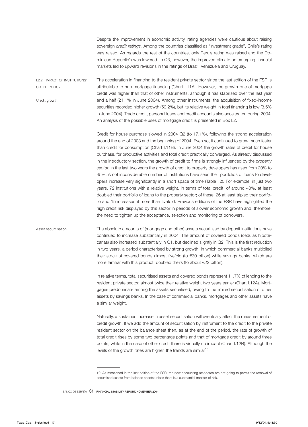Despite the improvement in economic activity, rating agencies were cautious about raising sovereign *credit ratings.* Among the countries classified as "investment grade", Chile's rating was raised. As regards the rest of the countries, only Peru's rating was raised and the Dominican Republic's was lowered. In Q3, however, the improved climate on emerging financial markets led to upward revisions in the ratings of Brazil, Venezuela and Uruguay.

I.2.2 IMPACT OF INSTITUTIONS' CREDIT POLICY Credit growth The acceleration in financing to the resident private sector since the last edition of the FSR is attributable to non-mortgage financing (Chart I.11A). However, the growth rate of mortgage credit was higher than that of other instruments, although it has stabilised over the last year and a half (21.1% in June 2004). Among other instruments, the acquisition of fixed-income securities recorded higher growth (59.2%), but its relative weight in total financing is low (3.5% in June 2004). Trade credit, personal loans and credit accounts also accelerated during 2004. An analysis of the possible uses of mortgage credit is presented in Box I.2.

> Credit for house purchase slowed in 2004 Q2 (to 17.1%), following the strong acceleration around the end of 2003 and the beginning of 2004. Even so, it continued to grow much faster than credit for consumption (Chart I.11B). In June 2004 the growth rates of credit for house purchase, for productive activities and total credit practically converged. As already discussed in the introductory section, the growth of credit to firms is strongly influenced by the *property sector.* In the last two years the growth of credit to property developers has risen from 20% to 45%. A not inconsiderable number of institutions have seen their portfolios of loans to developers increase very significantly in a short space of time (Table I.2). For example, in just two years, 72 institutions with a relative weight, in terms of total credit, of around 40%, at least doubled their portfolio of loans to the property sector; of these, 26 at least tripled their portfolio and 15 increased it more than fivefold. Previous editions of the FSR have highlighted the high credit risk displayed by this sector in periods of slower economic growth and, therefore, the need to tighten up the acceptance, selection and monitoring of borrowers.

Asset securitisation The absolute amounts of (mortgage and other) assets securitised by deposit institutions have continued to increase substantially in 2004. The amount of covered bonds (cédulas hipotecarias) also increased substantially in Q1, but declined slightly in Q2. This is the first reduction in two years, a period characterised by strong growth, in which commercial banks multiplied their stock of covered bonds almost fivefold (to €30 billion) while savings banks, which are more familiar with this product, doubled theirs (to about €22 billion).

> In relative terms, total securitised assets and covered bonds represent 11.7% of lending to the resident private sector, almost twice their relative weight two years earlier (Chart I.12A). Mortgages predominate among the assets securitised, owing to the limited securitisation of other assets by savings banks. In the case of commercial banks, mortgages and other assets have a similar weight.

> Naturally, a sustained increase in asset securitisation will eventually affect the measurement of credit growth. If we add the amount of securitisation by instrument to the credit to the private resident sector on the balance sheet then, as at the end of the period, the rate of growth of total credit rises by some two percentage points and that of mortgage credit by around three points, while in the case of other credit there is virtually no impact (Chart I.12B). Although the levels of the growth rates are higher, the trends are similar<sup>10</sup>.

<sup>10.</sup> As mentioned in the last edition of the FSR, the new accounting standards are not going to permit the removal of securitised assets from balance sheets unless there is a substantial transfer of risk.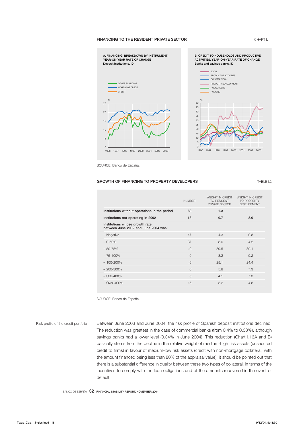#### FINANCING TO THE RESIDENT PRIVATE SECTOR **CHART I.11**



SOURCE: Banco de España.

#### GROWTH OF FINANCING TO PROPERTY DEVELOPERS TABLE I.2

|                                                                        | <b>NUMBER</b> | <b>WFIGHT IN CREDIT</b><br><b>TO RESIDENT</b><br>PRIVATE SECTOR | <b>WFIGHT IN CREDIT</b><br><b>TO PROPERTY</b><br><b>DEVELOPMENT</b> |
|------------------------------------------------------------------------|---------------|-----------------------------------------------------------------|---------------------------------------------------------------------|
| Institutions without operations in the period                          | 69            | 1.3                                                             |                                                                     |
| Institutions not operating in 2002                                     | 13            | 0.7                                                             | 3.0                                                                 |
| Institutions whose growth rate<br>between June 2002 and June 2004 was: |               |                                                                 |                                                                     |
| - Negative                                                             | 47            | 4.3                                                             | 0.8                                                                 |
| $-0.50%$                                                               | 37            | 8.0                                                             | 4.2                                                                 |
| $-50 - 75%$                                                            | 19            | 39.5                                                            | 39.1                                                                |
| $-75-100\%$                                                            | 9             | 8.2                                                             | 9.2                                                                 |
| $-100 - 200\%$                                                         | 46            | 25.1                                                            | 24.4                                                                |
| $-200 - 300\%$                                                         | 6             | 5.8                                                             | 7.3                                                                 |
| $-300 - 400\%$                                                         | 5             | 4.1                                                             | 7.3                                                                 |
| $-$ Over 400%                                                          | 15            | 3.2                                                             | 4.8                                                                 |
|                                                                        |               |                                                                 |                                                                     |

SOURCE: Banco de España.

Risk profile of the credit portfolio Between June 2003 and June 2004, the risk profile of Spanish deposit institutions declined. The reduction was greatest in the case of commercial banks (from 0.4% to 0.38%), although savings banks had a lower level (0.34% in June 2004). This reduction (Chart I.13A and B) basically stems from the decline in the relative weight of medium-high risk assets (unsecured credit to firms) in favour of medium-low risk assets (credit with non-mortgage collateral, with the amount financed being less than 80% of the appraisal value). It should be pointed out that there is a substantial difference in quality between these two types of collateral, in terms of the incentives to comply with the loan obligations and of the amounts recovered in the event of default.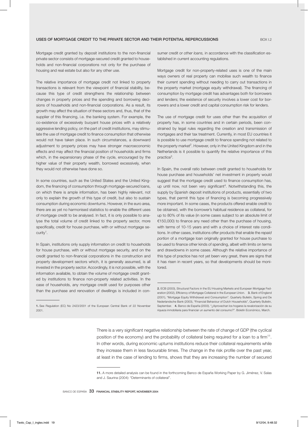Mortgage credit granted by deposit institutions to the non-financial private sector consists of mortgage-secured credit granted to households and non-financial corporations not only for the purchase of housing and real estate but also for any other use.

The relative importance of mortgage credit not linked to property transactions is relevant from the viewpoint of financial stability, because this type of credit strengthens the relationship between changes in property prices and the spending and borrowing decisions of households and non-financial corporations. As a result, its growth may affect the situation of these sectors and, thus, that of the supplier of this financing, i.e. the banking system. For example, the co-existence of excessively buoyant house prices with a relatively aggressive lending policy, on the part of credit institutions, may stimulate the use of mortgage credit to finance consumption that otherwise would not have taken place. In such circumstances, a downward adjustment to property prices may have stronger macroeconomic effects and may affect the financial position of households and firms which, in the expansionary phase of the cycle, encouraged by the higher value of their property wealth, borrowed excessively, when they would not otherwise have done so.

In some countries, such as the United States and the United Kingdom, the financing of consumption through mortgage-secured loans, on which there is ample information, has been highly relevant, not only to explain the growth of this type of credit, but also to sustain consumption during economic downturns. However, in the euro area, there are as yet no harmonised statistics to enable the different uses of mortgage credit to be analysed. In fact, it is only possible to analyse the total volume of credit linked to the property sector, more specifically, credit for house purchase, with or without mortgage security<sup>1</sup>.

In Spain, institutions only supply information on credit to households for house purchase, with or without mortgage security, and on the credit granted to non-financial corporations in the construction and property development sectors which, it is generally assumed, is all invested in the property sector. Accordingly, it is not possible, with the information available, to obtain the volume of mortgage credit granted by institutions to finance non-property related activities. In the case of households, any mortgage credit used for purposes other than the purchase and renovation of dwellings is included in con-

1. See Regulation (EC) No 2423/2001 of the European Central Bank of 22 November 2001.

sumer credit or *other loans,* in accordance with the classification established in current accounting regulations.

Mortgage credit for non-property-related uses is one of the main ways owners of real property can mobilise such wealth to finance their current spending without needing to carry out transactions in the property market (mortgage equity withdrawal). The financing of consumption by mortgage credit has advantages both for borrowers and lenders; the existence of security involves a lower cost for borrowers and a lower credit and capital consumption risk for lenders.

The use of mortgage credit for uses other than the acquisition of property has, in some countries and in certain periods, been constrained by legal rules regarding the creation and transmission of mortgages and their tax treatment. Currently, in most EU countries it is possible to use mortgage credit to finance spending not related to the property market<sup>2</sup>. However, only in the United Kingdom and in the Netherlands is it possible to quantify the relative importance of this practice<sup>3</sup>.

In Spain, the overall ratio between credit granted to households for house purchase and households' net investment in property would suggest that the mortgage credit used to finance consumption has, up until now, not been very significant<sup>4</sup>. Notwithstanding this, the supply by Spanish deposit institutions of products, essentially of two types, that permit this type of financing is becoming progressively more important. In some cases, the products offered enable credit to be obtained, with the borrower's habitual residence as collateral, for up to 80% of its value (in some cases subject to an absolute limit of €150,000) to finance any need other than the purchase of housing, with terms of 10-15 years and with a choice of interest rate conditions. In other cases, institutions offer products that enable the *repaid portion* of a mortgage loan originally granted for house purchase to be used to finance other kinds of spending, albeit with limits on terms and drawdowns in some cases. Although the relative importance of this type of practice has not yet been very great, there are signs that it has risen in recent years, so that developments should be monitored.

There is a very significant negative relationship between the rate of change of GDP (the cyclical position of the economy) and the probability of collateral being required for a loan to a firm<sup>11</sup>. In other words, during economic upturns institutions reduce their collateral requirements while they increase them in less favourable times. The change in the risk profile over the past year, at least in the case of lending to firms, shows that they are increasing the number of secured

<sup>2.</sup> ECB (2003), Structural Factors in the EU Housing Markets and European Mortgage Federation (2002), Efficiency of Mortgage Collateral in the European Union. 3. Bank of England (2001), "Mortgage Equity Withdrawal and Consumption". Quarterly Bulletin, Spring and De Nederlandsche Bank (2003), "Financial Behaviour of Dutch Households", Quarterly Bulletin, September. 4. Banco de España (2003). "¿Aprovechan los hogares la revalorización de su riqueza inmobiliaria para financiar un aumento del consumo?". Boletín Económico, March.

<sup>11.</sup> A more detailed analysis can be found in the forthcoming Banco de España Working Paper by G. Jiménez, V. Salas and J. Saurina (2004): "Determinants of collateral".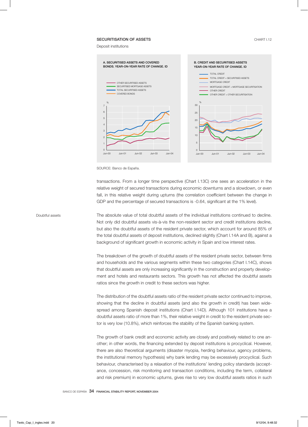#### SECURITISATION OF ASSETS **CHART I.12**

Deposit institutions



SOURCE: Banco de España.

transactions. From a longer time perspective (Chart I.13C) one sees an acceleration in the relative weight of secured transactions during economic downturns and a slowdown, or even fall, in this relative weight during upturns (the correlation coefficient between the change in GDP and the percentage of secured transactions is -0.64, significant at the 1% level).

Doubtful assets The absolute value of total doubtful assets of the individual institutions continued to decline. Not only did doubtful assets vis-à-vis the non-resident sector and credit institutions decline, but also the doubtful assets of the resident private sector, which account for around 85% of the total doubtful assets of deposit institutions, declined slightly (Chart I.14A and B), against a background of significant growth in economic activity in Spain and low interest rates.

> The breakdown of the growth of doubtful assets of the resident private sector, between firms and households and the various segments within these two categories (Chart I.14C), shows that doubtful assets are only increasing significantly in the construction and property development and hotels and restaurants sectors. This growth has not affected the doubtful assets ratios since the growth in credit to these sectors was higher.

> The distribution of the doubtful assets ratio of the resident private sector continued to improve, showing that the decline in doubtful assets (and also the growth in credit) has been widespread among Spanish deposit institutions (Chart I.14D). Although 101 institutions have a doubtful assets ratio of more than 1%, their relative weight in credit to the resident private sector is very low (10.8%), which reinforces the stability of the Spanish banking system.

> The growth of bank credit and economic activity are closely and positively related to one another; in other words, the financing extended by deposit institutions is procyclical. However, there are also theoretical arguments (disaster myopia, herding behaviour, agency problems, the institutional memory hypothesis) why bank lending may be excessively procyclical. Such behaviour, characterised by a relaxation of the institutions' lending policy standards (acceptance, concession, risk monitoring and transaction conditions, including the term, collateral and risk premium) in economic upturns, gives rise to very low doubtful assets ratios in such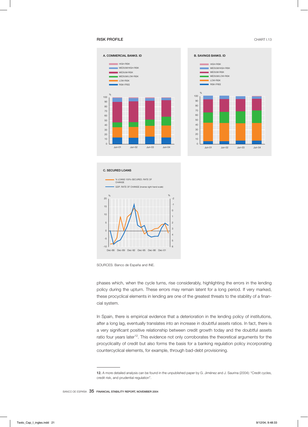### **RISK PROFILE** CHART I.13





#### C. SECURED LOANS



SOURCES: Banco de España and INE.

phases which, when the cycle turns, rise considerably, highlighting the errors in the lending policy during the upturn. These errors may remain latent for a long period. If very marked, these procyclical elements in lending are one of the greatest threats to the stability of a financial system.

In Spain, there is empirical evidence that a deterioration in the lending policy of institutions, after a long lag, eventually translates into an increase in doubtful assets ratios. In fact, there is a very significant positive relationship between credit growth today and the doubtful assets ratio four years later<sup>12</sup>. This evidence not only corroborates the theoretical arguments for the procyclicality of credit but also forms the basis for a banking regulation policy incorporating countercyclical elements, for example, through bad-debt provisioning.

<sup>12.</sup> A more detailed analysis can be found in the unpublished paper by G. Jiménez and J. Saurina (2004): "Credit cycles, credit risk, and prudential regulation".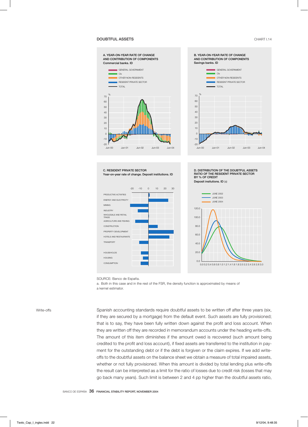### **DOUBTFUL ASSETS** CHART I.14



SOURCE: Banco de España.

a. Both in this case and in the rest of the FSR, the density function is approximated by means of

a kernel estimator.

Write-offs Spanish accounting standards require doubtful assets to be written off after three years (six, if they are secured by a mortgage) from the default event. Such assets are fully provisioned; that is to say, they have been fully written down against the profit and loss account. When they are written off they are recorded in memorandum accounts under the heading write-offs. The amount of this item diminishes if the amount owed is recovered (such amount being credited to the profit and loss account), if fixed assets are transferred to the institution in payment for the outstanding debt or if the debt is forgiven or the claim expires. If we add writeoffs to the doubtful assets on the balance sheet we obtain a measure of total impaired assets, whether or not fully provisioned. When this amount is divided by total lending plus write-offs the result can be interpreted as a limit for the ratio of losses due to credit risk (losses that may go back many years). Such limit is between 2 and 4 pp higher than the doubtful assets ratio,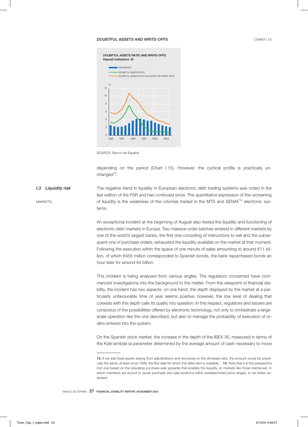#### DOUBTFUL ASSETS AND WRITE-OFFS



SOURCE: Banco de España.

depending on the period (Chart I.15). However, the cyclical profile is practically unchanged $13$ .

*I.3 Liquidity risk* MARKETS The negative trend in liquidity in European electronic *debt* trading systems was noted in the last edition of the FSR and has continued since. The quantitative expression of this worsening of liquidity is the weakness of the volumes traded in the MTS and SENAF<sup>14</sup> electronic systems.

> An exceptional incident at the beginning of August also tested the liquidity and functioning of electronic debt markets in Europe. Two massive order batches entered in different markets by one of the world's largest banks, the first one consisting of instructions to sell and the subsequent one of purchase orders, exhausted the liquidity available on the market at that moment. Following the execution within the space of one minute of sales amounting to around €11 billion, of which €455 million corresponded to Spanish bonds, the bank repurchased bonds an hour later for around €4 billion.

> This incident is being analysed from various angles. The regulators concerned have commenced investigations into the background to the matter. From the viewpoint of financial stability, the incident has two aspects: on one hand, the depth displayed by the market at a particularly unfavourable time of year seems positive; however, the low level of dealing that coexists with this depth calls its quality into question. In this respect, regulators and issuers are conscious of the possibilities offered by electronic technology, not only to orchestrate a largescale operation like the one described, but also to manage the probability of execution of orders entered into the system.

> On the Spanish *stock market,* the increase in the depth of the IBEX 35, measured in terms of the Kyle lambda (a parameter determined by the average amount of cash necessary to move

<sup>13.</sup> If we add fixed assets arising from adjudications and recoveries to the aforesaid ratio, the amount would be practically the same, at least since 1999, the first date for which this latter item is available. 14. Note that it is this perspective (not one based on the prevailing purchase-sale spreads) that enables the liquidity on markets like those mentioned, in which members are bound to quote purchase and sale positions within predetermined price ranges, to be better assessed.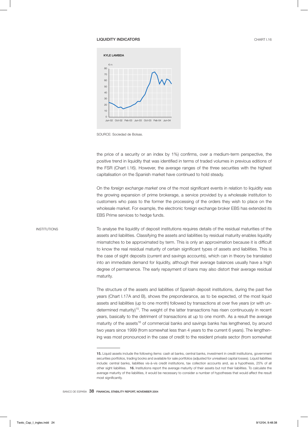#### LIQUIDITY INDICATORS CHART I.16



SOURCE: Sociedad de Bolsas.

the price of a security or an index by 1%) confirms, over a medium-term perspective, the positive trend in liquidity that was identified in terms of traded volumes in previous editions of the FSR (Chart I.16). However, the average ranges of the three securities with the highest capitalisation on the Spanish market have continued to hold steady.

On the *foreign exchange market* one of the most significant events in relation to liquidity was the growing expansion of prime brokerage, a service provided by a wholesale institution to customers who pass to the former the processing of the orders they wish to place on the wholesale market. For example, the electronic foreign exchange broker EBS has extended its EBS Prime services to hedge funds.

INSTITUTIONS To analyse the liquidity of deposit institutions requires details of the residual maturities of the assets and liabilities. Classifying the assets and liabilities by residual maturity enables liquidity mismatches to be approximated by term. This is only an approximation because it is difficult to know the real residual maturity of certain significant types of assets and liabilities. This is the case of sight deposits (current and savings accounts), which can in theory be translated into an immediate demand for liquidity, although their average balances usually have a high degree of permanence. The early repayment of loans may also distort their average residual maturity.

> The structure of the assets and liabilities of Spanish deposit institutions, during the past five years (Chart I.17A and B), shows the preponderance, as to be expected, of the most liquid assets and liabilities (up to one month) followed by transactions at over five years (or with undetermined maturity)<sup>15</sup>. The weight of the latter transactions has risen continuously in recent years, basically to the detriment of transactions at up to one month. As a result the average maturity of the assets<sup>16</sup> of commercial banks and savings banks has lengthened, by around two years since 1999 (from somewhat less than 4 years to the current 6 years). The lengthening was most pronounced in the case of credit to the resident private sector (from somewhat

<sup>15.</sup> Liquid assets include the following items: cash at banks, central banks, investment in credit institutions, government securities portfolios, trading books and available for sale portfolios (adjusted for unrealised capital losses). Liquid liabilities include: central banks, liabilities vis-à-vis credit institutions, tax collection accounts and, as a hypothesis, 25% of all other sight liabilities. 16. Institutions report the average maturity of their assets but not their liabilities. To calculate the average maturity of the liabilities, it would be necessary to consider a number of hypotheses that would affect the result most significantly.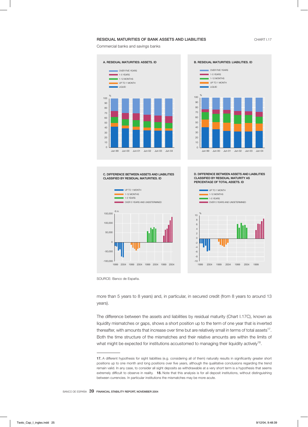#### RESIDUAL MATURITIES OF BANK ASSETS AND LIABILITIES **CHART I.17**

Commercial banks and savings banks





1999 2004 1999 2004 1999 2004 1999

SOURCE: Banco de España.

1999 2004 1999 2004 1999 2004 1999 2004

-100,000

more than 5 years to 8 years) and, in particular, in secured credit (from 8 years to around 13 years).

-<sub>10</sub> |<br> 1999 2004

The difference between the assets and liabilities by residual maturity (Chart I.17C), known as liquidity mismatches or gaps, shows a short position up to the term of one year that is inverted thereafter, with amounts that increase over time but are relatively small in terms of total assets<sup>17</sup>. Both the time structure of the mismatches and their relative amounts are within the limits of what might be expected for institutions accustomed to managing their liquidity actively<sup>18</sup>.

<sup>17.</sup> A different hypothesis for sight liabilities (e.g. considering all of them) naturally results in significantly greater short positions up to one month and long positions over five years, although the qualitative conclusions regarding the trend remain valid. In any case, to consider all sight deposits as withdrawable at a very short term is a hypothesis that seems extremely difficult to observe in reality. 18. Note that this analysis is for all deposit institutions, without distinguishing between currencies. In particular institutions the mismatches may be more acute.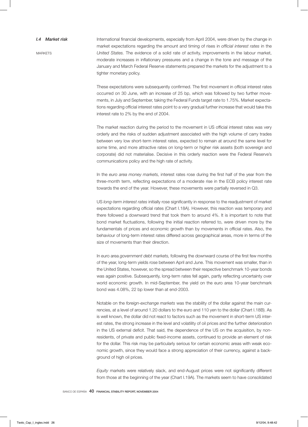#### *I.4 Market risk*

**MARKETS** 

International financial developments, especially from April 2004, were driven by the change in market expectations regarding the amount and timing of rises in *official interest rates* in the *United States.* The evidence of a solid rate of activity, improvements in the labour market, moderate increases in inflationary pressures and a change in the tone and message of the January and March Federal Reserve statements prepared the markets for the adjustment to a tighter monetary policy.

These expectations were subsequently confirmed. The first movement in official interest rates occurred on 30 June, with an increase of 25 bp, which was followed by two further movements, in July and September, taking the Federal Funds target rate to 1.75%. Market expectations regarding official interest rates point to a very gradual further increase that would take this interest rate to 2% by the end of 2004.

The market reaction during the period to the movement in US official interest rates was very orderly and the risks of sudden adjustment associated with the high volume of carry trades between very low short-term interest rates, expected to remain at around the same level for some time, and more attractive rates on long-term or higher risk assets (both sovereign and corporate) did not materialise. Decisive in this orderly reaction were the Federal Reserve's communications policy and the high rate of activity.

In the *euro area money markets,* interest rates rose during the first half of the year from the three-month term, reflecting expectations of a moderate rise in the ECB policy interest rate towards the end of the year. However, these movements were partially reversed in Q3.

US *long-term interest rates* initially rose significantly in response to the readjustment of market expectations regarding official rates (Chart I.18A). However, this reaction was temporary and there followed a downward trend that took them to around 4%. It is important to note that bond market fluctuations, following the initial reaction referred to, were driven more by the fundamentals of prices and economic growth than by movements in official rates. Also, the behaviour of long-term interest rates differed across geographical areas, more in terms of the size of movements than their direction.

In euro area *government debt markets,* following the downward course of the first few months of the year, long-term yields rose between April and June. This movement was smaller, than in the United States, however, so the spread between their respective benchmark 10-year bonds was again positive. Subsequently, long-term rates fell again, partly reflecting uncertainty over world economic growth. In mid-September, the yield on the euro area 10-year benchmark bond was 4.08%, 22 bp lower than at end-2003.

Notable on the *foreign-exchange markets* was the stability of the dollar against the main currencies, at a level of around 1.20 dollars to the euro and 110 yen to the dollar (Chart I.18B). As is well known, the dollar did not react to factors such as the movement in short-term US interest rates, the strong increase in the level and volatility of oil prices and the further deterioration in the US external deficit. That said, the dependence of the US on the acquisition, by nonresidents, of private and public fixed-income assets, continued to provide an element of risk for the dollar. This risk may be particularly serious for certain economic areas with weak economic growth, since they would face a strong appreciation of their currency, against a background of high oil prices.

*Equity* markets were relatively slack, and end-August prices were not significantly different from those at the beginning of the year (Chart I.19A). The markets seem to have consolidated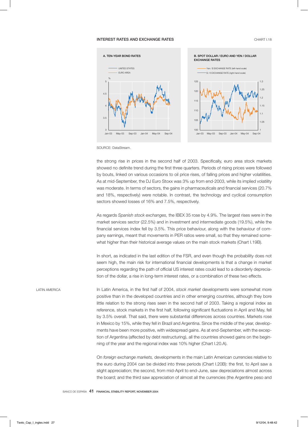### **INTEREST RATES AND EXCHANGE RATES CHART L18**





SOURCE: DataStream.

the strong rise in prices in the second half of 2003. Specifically, euro area stock markets showed no definite trend during the first three quarters. Periods of rising prices were followed by bouts, linked on various occasions to oil price rises, of falling prices and higher volatilities. As at mid-September, the DJ Euro Stoxx was 3% up from end-2003, while its implied volatility was moderate. In terms of sectors, the gains in pharmaceuticals and financial services (20.7% and 18%, respectively) were notable. In contrast, the technology and cyclical consumption sectors showed losses of 16% and 7.5%, respectively.

As regards *Spanish stock exchanges,* the IBEX 35 rose by 4.9%. The largest rises were in the market services sector (22.5%) and in investment and intermediate goods (19.5%), while the financial services index fell by 3.5%. This price behaviour, along with the behaviour of company earnings, meant that movements in PER ratios were small, so that they remained somewhat higher than their historical average values on the main stock markets (Chart I.19B).

In short, as indicated in the last edition of the FSR, and even though the probability does not seem high, the main risk for international financial developments is that a change in market perceptions regarding the path of official US interest rates could lead to a disorderly depreciation of the dollar, a rise in long-term interest rates, or a combination of these two effects.

LATIN AMERICA In Latin America, in the first half of 2004, *stock market* developments were somewhat more positive than in the developed countries and in other emerging countries, although they bore little relation to the strong rises seen in the second half of 2003. Taking a regional index as reference, stock markets in the first half, following significant fluctuations in April and May, fell by 3.5% overall. That said, there were substantial differences across countries. Markets rose in Mexico by 15%, while they fell in Brazil and Argentina. Since the middle of the year, developments have been more positive, with widespread gains. As at end-September, with the exception of Argentina (affected by debt restructuring), all the countries showed gains on the beginning of the year and the regional index was 10% higher (Chart I.20.A).

> On *foreign exchange markets,* developments in the main Latin American currencies relative to the euro during 2004 can be divided into three periods (Chart I.20B): the first, to April saw a slight appreciation; the second, from mid-April to end-June, saw depreciations almost across the board; and the third saw appreciation of almost all the currencies (the Argentine peso and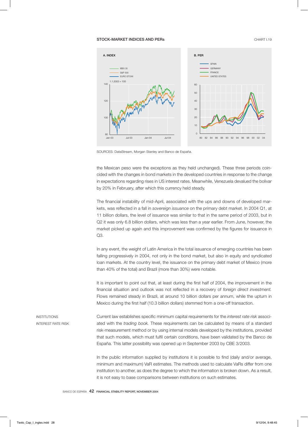#### STOCK-MARKET INDICES AND PERs **CHART I.19**



SOURCES: DataStream, Morgan Stanley and Banco de España.

the Mexican peso were the exceptions as they held unchanged). These three periods coincided with the changes in bond markets in the developed countries in response to the change in expectations regarding rises in US interest rates. Meanwhile, Venezuela devalued the bolivar by 20% in February, after which this currency held steady.

The financial instability of mid-April, associated with the ups and downs of developed markets, was reflected in a fall in *sovereign issuance* on the primary debt market. In 2004 Q1, at 11 billion dollars, the level of issuance was similar to that in the same period of 2003, but in Q2 it was only 6.8 billion dollars, which was less than a year earlier. From June, however, the market picked up again and this improvement was confirmed by the figures for issuance in Q3.

In any event, the weight of Latin America in the total issuance of emerging countries has been falling progressively in 2004, not only in the bond market, but also in equity and syndicated loan markets. At the country level, the issuance on the primary debt market of Mexico (more than 40% of the total) and Brazil (more than 30%) were notable.

It is important to point out that, at least during the first half of 2004, the improvement in the financial situation and outlook was not reflected in a recovery of *foreign direct investment.* Flows remained steady in Brazil, at around 10 billion dollars per annum, while the upturn in Mexico during the first half (10.3 billion dollars) stemmed from a one-off transaction.

INSTITUTIONS INTEREST RATE RISK Current law establishes specific minimum capital requirements for the *interest rate risk* associated with the *trading book.* These requirements can be calculated by means of a standard risk-measurement method or by using internal models developed by the institutions, provided that such models, which must fulfil certain conditions, have been validated by the Banco de España. This latter possibility was opened up in September 2003 by CBE 3/2003.

In the public information supplied by institutions it is possible to find (daily and/or average, minimum and maximum) VaR estimates. The methods used to calculate VaRs differ from one institution to another, as does the degree to which the information is broken down. As a result, it is not easy to base comparisons between institutions on such estimates.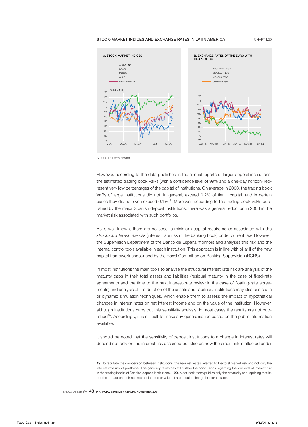#### STOCK-MARKET INDICES AND EXCHANGE RATES IN LATIN AMERICA CHART I.20



SOURCE: DataStream.

However, according to the data published in the annual reports of larger deposit institutions, the estimated trading book VaRs (with a confidence level of 99% and a one-day horizon) represent very low percentages of the capital of institutions. On average in 2003, the trading book VaRs of large institutions did not, in general, exceed 0.2% of tier 1 capital, and in certain cases they did not even exceed 0.1%<sup>19</sup>. Moreover, according to the trading book VaRs published by the major Spanish deposit institutions, there was a general reduction in 2003 in the market risk associated with such portfolios.

As is well known, there are no specific minimum capital requirements associated with the *structural interest rate risk* (interest rate risk in the banking book) under current law. However, the Supervision Department of the Banco de España monitors and analyses this risk and the internal control tools available in each institution. This approach is in line with pillar II of the new capital framework announced by the Basel Committee on Banking Supervision (BCBS).

In most institutions the main tools to analyse the structural interest rate risk are analysis of the maturity gaps in their total assets and liabilities (residual maturity in the case of fixed-rate agreements and the time to the next interest-rate review in the case of floating-rate agreements) and analysis of the duration of the assets and liabilities. Institutions may also use static or dynamic simulation techniques, which enable them to assess the impact of hypothetical changes in interest rates on net interest income and on the value of the institution. However, although institutions carry out this sensitivity analysis, in most cases the results are not pub $l$ ished $20$ . Accordingly, it is difficult to make any generalisation based on the public information available.

It should be noted that the sensitivity of deposit institutions to a change in interest rates will depend not only on the interest risk assumed but also on how the credit risk is affected under

<sup>19.</sup> To facilitate the comparison between institutions, the VaR estimates referred to the total market risk and not only the interest rate risk of portfolios. This generally reinforces still further the conclusions regarding the low level of interest risk in the trading books of Spanish deposit institutions. 20. Most institutions publish only their maturity and repricing matrix, not the impact on their net interest income or value of a particular change in interest rates.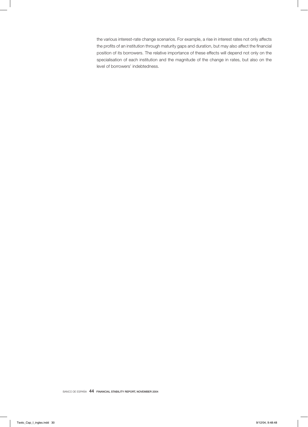the various interest-rate change scenarios. For example, a rise in interest rates not only affects the profits of an institution through maturity gaps and duration, but may also affect the financial position of its borrowers. The relative importance of these effects will depend not only on the specialisation of each institution and the magnitude of the change in rates, but also on the level of borrowers' indebtedness.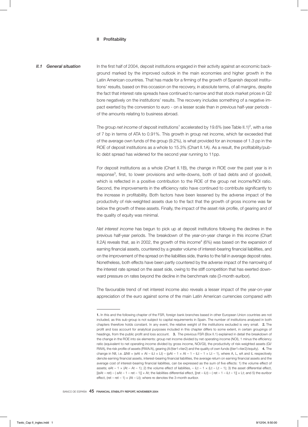#### II Profitability

*II.1* General situation In the first half of 2004, deposit institutions engaged in their activity against an economic background marked by the improved outlook in the main economies and higher growth in the Latin American countries. That has made for a firming of the growth of Spanish deposit institutions' results, based on this occasion on the recovery, in absolute terms, of all margins, despite the fact that interest rate spreads have continued to narrow and that stock market prices in Q2 bore negatively on the institutions' results. The recovery includes something of a negative impact exerted by the conversion to euro - on a lesser scale than in previous half-year periods of the amounts relating to business abroad.

> The group *net income* of deposit institutions<sup>1</sup> accelerated by 19.6% (see Table II.1)<sup>2</sup>, with a rise of 7 bp in terms of ATA to 0.91%. This growth in group net income, which far exceeded that of the average own funds of the group (9.2%), is what provided for an increase of 1.3 pp in the ROE of deposit institutions as a whole to 15.3% (Chart II.1A). As a result, the profitability/public debt spread has widened for the second year running to 11pp.

> For deposit institutions as a whole (Chart II.1B), the change in ROE over the past year is in response<sup>3</sup> , first, to lower provisions and write-downs, both of bad debts and of goodwill, which is reflected in a positive contribution to the ROE of the group net income/NOI ratio. Second, the improvements in the efficiency ratio have continued to contribute significantly to the increase in profitability. Both factors have been lessened by the adverse impact of the productivity of risk-weighted assets due to the fact that the growth of gross income was far below the growth of these assets. Finally, the impact of the asset risk profile, of gearing and of the quality of equity was minimal.

> *Net interest income* has begun to pick up at deposit institutions following the declines in the previous half-year periods. The breakdown of the year-on-year change in this income (Chart II.2A) reveals that, as in 2002, the growth of this income $^4$  (6%) was based on the expansion of earning financial assets, countered by a greater volume of interest-bearing financial liabilities, and on the improvement of the spread on the liabilities side, thanks to the fall in average deposit rates. Nonetheless, both effects have been partly countered by the adverse impact of the narrowing of the interest rate spread on the asset side, owing to the stiff competition that has exerted downward pressure on rates beyond the decline in the benchmark rate (3-month euribor).

> The favourable trend of net interest income also reveals a lesser impact of the year-on-year appreciation of the euro against some of the main Latin American currencies compared with

<sup>1.</sup> In this and the following chapter of the FSR, foreign bank branches based in other European Union countries are not included, as this sub-group is not subject to capital requirements in Spain. The number of institutions analysed in both chapters therefore holds constant. In any event, the relative weight of the institutions excluded is very small. 2. The profit and loss account for analytical purposes included in this chapter differs to some extent, in certain groupings of headings, from the public profit and loss account. 3. The previous FSR (Box II.1) explained in detail the breakdown of the change in the ROE into six elements: group net income divided by net operating income (NOI), 1 minus the efficiency ratio (equivalent to net operating income divided by gross income, NOI/GI), the productivity of risk-weighted assets (GI/ RWA), the risk profile of assets (RWA/A), gearing (A/(tier1+tier2) and the quality of own funds ((tier1+tier2)/equity). 4. The change in NII, i.e.  $\Delta$ NII = (eAt × At – iLt × Lt) – (pAt – 1 × At – 1 – iLt – 1 × Lt – 1), where A, L, eA and iL respectively denote earning financial assets, interest-bearing financial liabilities, the average return on earning financial assets and the average cost of interest-bearing financial liabilities, can be expressed as the sum of five effects: 1) the volume effect of assets; eAt – 1 × (At – At – 1); 2) the volume effect of liabilities, – iLt – 1 × (Lt – Lt – 1); 3) the asset differential effect,  $[(\theta A t - \text{ret}) - (\theta A t - 1 - \text{ret} - 1)] \times At$ ; the liabilities differential effect,  $[(\text{ret} - iLt) - (\text{ret} - 1 - iLt - 1)] \times Lt$ ; and 5) the euribor effect, (ret – ret – 1)  $\times$  (At – Lt); where re denotes the 3-month euribor.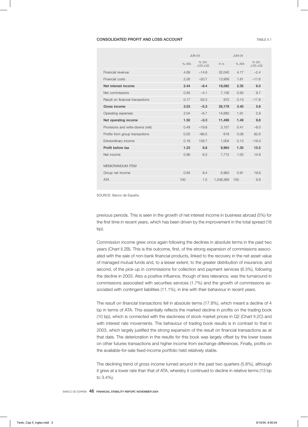### CONSOLIDATED PROFIT AND LOSS ACCOUNT **TABLE II.1** TABLE II.1

| <b>JUN-03</b> |                        |            | <b>JUN-04</b> |                        |  |
|---------------|------------------------|------------|---------------|------------------------|--|
| % ATA         | % CH.<br>$J.03 - J.02$ | $\notin$ m | % ATA         | % CH.<br>$J.03 - J.02$ |  |
| 4.69          | $-14.8$                | 32,040     | 4.17          | $-2.4$                 |  |
| 2.26          | $-20.7$                | 13,958     | 1.81          | $-11.6$                |  |
| 2.44          | $-8.4$                 | 18,082     | 2.35          | 6.0                    |  |
| 0.93          | $-4.1$                 | 7,126      | 0.93          | 9.7                    |  |
| 0.17          | 63.3                   | 972        | 0.13          | $-17.8$                |  |
| 3.53          | $-5.3$                 | 26,179     | 3.40          | 5.8                    |  |
| 2.04          | $-6.7$                 | 14,680     | 1.91          | 2.9                    |  |
| 1.50          | $-3.3$                 | 11,499     | 1.49          | 9.8                    |  |
| 0.49          | $-19.8$                | 3,157      | 0.41          | $-8.0$                 |  |
| 0.05          | $-66.5$                | 618        | 0.08          | 82.6                   |  |
| 0.18          | 139.7                  | 1,004      | 0.13          | $-19.3$                |  |
| 1.23          | 6.8                    | 9.964      | 1.30          | 15.5                   |  |
| 0.96          | 6.3                    | 7,712      | 1.00          | 14.9                   |  |
|               |                        |            |               |                        |  |
| 0.83          | 9.4                    | 6,963      | 0.91          | 19.6                   |  |
| 100           | 1.5                    | 1,538,369  | 100           | 9.9                    |  |
|               |                        |            |               |                        |  |

SOURCE: Banco de España.

previous periods. This is seen in the growth of net interest income in business abroad (5%) for the first time in recent years, which has been driven by the improvement in the total spread (16 bp).

*Commission income* grew once again following the declines in absolute terms in the past two years (Chart II.2B). This is the outcome, first, of the strong expansion of commissions associated with the sale of non-bank financial products, linked to the recovery in the net asset value of managed mutual funds and, to a lesser extent, to the greater distribution of insurance; and second, of the pick-up in commissions for collection and payment services (6.3%), following the decline in 2003. Also a positive influence, though of less relevance, was the turnaround in commissions associated with securities services (1.7%) and the growth of commissions associated with contingent liabilities (11.1%), in line with their behaviour in recent years.

The *result on financial transactions* fell in absolute terms (17.8%), which meant a decline of 4 bp in terms of ATA. This essentially reflects the marked decline in profits on the trading book (10 bp), which is connected with the slackness of stock market prices in Q2 (Chart II.2C) and with interest rate movements. The behaviour of trading book results is in contrast to that in 2003, which largely justified the strong expansion of the result on financial transactions as at that date. The deterioration in the results for this book was largely offset by the lower losses on other futures transactions and higher income from exchange differences. Finally, profits on the available-for-sale fixed-income portfolio held relatively stable.

The declining trend of *gross income* turned around in the past two quarters (5.8%), although it grew at a lower rate than that of ATA, whereby it continued to decline in relative terms (13 bp to 3.4%).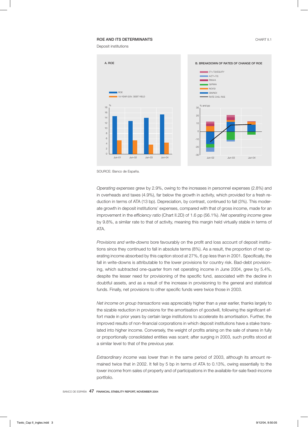#### **ROE AND ITS DETERMINANTS CHART II.1**

Deposit institutions



SOURCE: Banco de España.

*Operating expenses* grew by 2.9%, owing to the increases in personnel expenses (2.8%) and in overheads and taxes (4.9%), far below the growth in activity, which provided for a fresh reduction in terms of ATA (13 bp). Depreciation, by contrast, continued to fall (3%). This moderate growth in deposit institutions' expenses, compared with that of gross income, made for an improvement in the *efficiency ratio* (Chart II.2D) of 1.6 pp (56.1%). *Net operating income* grew by 9.8%, a similar rate to that of activity, meaning this margin held virtually stable in terms of ATA.

*Provisions and write-downs* bore favourably on the profit and loss account of deposit institutions since they continued to fall in absolute terms (8%). As a result, the proportion of net operating income absorbed by this caption stood at 27%, 6 pp less than in 2001. Specifically, the fall in write-downs is attributable to the lower provisions for country risk. Bad-debt provisioning, which subtracted one-quarter from net operating income in June 2004, grew by 5.4%, despite the lesser need for provisioning of the specific fund, associated with the decline in doubtful assets, and as a result of the increase in provisioning to the general and statistical funds. Finally, net provisions to other specific funds were twice those in 2003.

*Net income on group transactions* was appreciably higher than a year earlier, thanks largely to the sizable reduction in provisions for the amortisation of goodwill, following the significant effort made in prior years by certain large institutions to accelerate its amortisation. Further, the improved results of non-financial corporations in which deposit institutions have a stake translated into higher income. Conversely, the weight of profits arising on the sale of shares in fully or proportionally consolidated entities was scant; after surging in 2003, such profits stood at a similar level to that of the previous year.

*Extraordinary income* was lower than in the same period of 2003, although its amount remained twice that in 2002. It fell by 5 bp in terms of ATA to 0.13%, owing essentially to the lower income from sales of property and of participations in the available-for-sale fixed-income portfolio.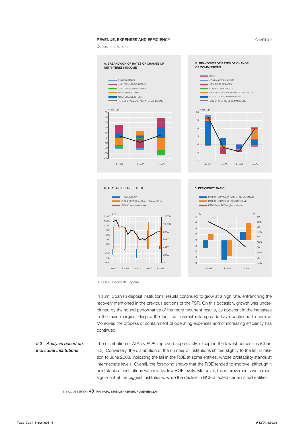### REVENUE, EXPENSES AND EFFICIENCY **CHART II.2**

Deposit institutions



SOURCE: Banco de España.

In sum, Spanish deposit institutions' results continued to grow at a high rate, entrenching the recovery mentioned in the previous editions of the FSR. On this occasion, growth was underpinned by the sound performance of the more recurrent results, as apparent in the increases in the main margins, despite the fact that interest rate spreads have continued to narrow. Moreover, the process of containment of operating expenses and of increasing efficiency has continued.

# *II.2 Analysis based on individual institutions*

The distribution of ATA by *ROE* improved appreciably, except in the lowest percentiles (Chart II.3). Conversely, the distribution of the number of institutions shifted slightly to the left in relation to June 2003, indicating the fall in the ROE at some entities, whose profitability stands at intermediate levels. Overall, the foregoing shows that the ROE tended to improve, although it held stable at institutions with relative low ROE levels. Moreover, the improvements were most significant at the biggest institutions, while the decline in ROE affected certain small entities.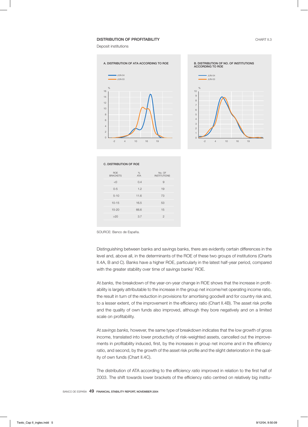#### **DISTRIBUTION OF PROFITABILITY CHART II.3**

Deposit institutions





| <b>C. DISTRIBUTION OF ROE</b> |                 |                               |  |  |  |
|-------------------------------|-----------------|-------------------------------|--|--|--|
| <b>ROE</b><br><b>BRACKETS</b> | %<br><b>ATA</b> | No. OF<br><b>INSTITUTIONS</b> |  |  |  |
| < 0                           | 0.4             | 9                             |  |  |  |
| $0 - 5$                       | 1.2             | 19                            |  |  |  |
| $5 - 10$                      | 11.6            | 73                            |  |  |  |
| $10 - 15$                     | 16.5            | 53                            |  |  |  |
| $15 - 20$                     | 66.6            | 15                            |  |  |  |
| >20                           | 3.7             | $\overline{2}$                |  |  |  |
|                               |                 |                               |  |  |  |

SOURCE: Banco de España.

Distinguishing between banks and savings banks, there are evidently certain differences in the level and, above all, in the determinants of the ROE of these two groups of institutions (Charts II.4A, B and C). Banks have a higher ROE, particularly in the latest half-year period, compared with the greater stability over time of savings banks' ROE.

At *banks,* the breakdown of the year-on-year change in ROE shows that the increase in profitability is largely attributable to the increase in the group net income/net operating income ratio, the result in turn of the reduction in provisions for amortising goodwill and for country risk and, to a lesser extent, of the improvement in the efficiency ratio (Chart II.4B). The asset risk profile and the quality of own funds also improved, although they bore negatively and on a limited scale on profitability.

At *savings banks,* however, the same type of breakdown indicates that the low growth of gross income, translated into lower productivity of risk-weighted assets, cancelled out the improvements in profitability induced, first, by the increases in group net income and in the efficiency ratio, and second, by the growth of the asset risk profile and the slight deterioration in the quality of own funds (Chart II.4C).

The distribution of ATA according to the *efficiency ratio* improved in relation to the first half of 2003. The shift towards lower brackets of the efficiency ratio centred on relatively big institu-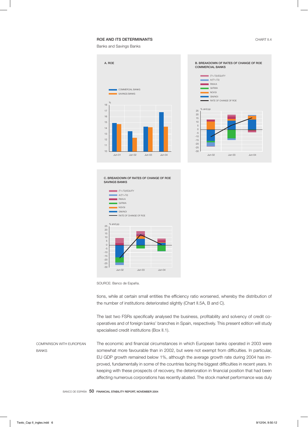## ROE AND ITS DETERMINANTS **CHART II.4**

Banks and Savings Banks





C. BREAKDOWN OF RATES OF CHANGE OF ROE SAVINGS BANKS



SOURCE: Banco de España.

tions, while at certain small entities the efficiency ratio worsened, whereby the distribution of the number of institutions deteriorated slightly (Chart II.5A, B and C).

The last two FSRs specifically analysed the business, profitability and solvency of credit cooperatives and of foreign banks' branches in Spain, respectively. This present edition will study specialised credit institutions (Box II.1).

COMPARISON WITH EUROPEAN BANKS

The economic and financial circumstances in which European banks operated in 2003 were somewhat more favourable than in 2002, but were not exempt from difficulties. In particular, EU GDP growth remained below 1%, although the average growth rate during 2004 has improved, fundamentally in some of the countries facing the biggest difficulties in recent years. In keeping with these prospects of recovery, the deterioration in financial position that had been affecting numerous corporations has recently abated. The stock market performance was duly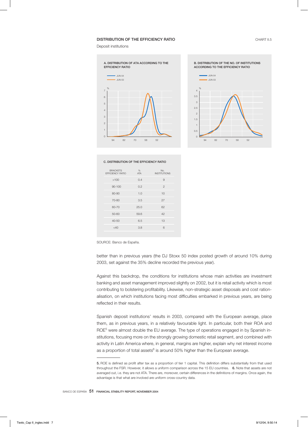#### DISTRIBUTION OF THE EFFICIENCY RATIO **CHART II.5**

Deposit institutions





#### C. DISTRIBUTION OF THE EFFICIENCY RATIO

| <b>BRACKETS</b><br>EFFICIENCY RATIO | %<br><b>ATA</b> | No.<br><b>INSTITUTIONS</b> |
|-------------------------------------|-----------------|----------------------------|
| >100                                | 0.4             | 9                          |
| $90 - 100$                          | 0.2             | $\overline{2}$             |
| 80-90                               | 1.0             | 10                         |
| 70-80                               | 3.5             | 27                         |
| $60 - 70$                           | 25.0            | 62                         |
| 50-60                               | 59.6            | 42                         |
| 40-50                               | 6.5             | 13                         |
| $<$ 40                              | 3.8             | 6                          |
|                                     |                 |                            |

SOURCE: Banco de España.

better than in previous years (the DJ Stoxx 50 index posted growth of around 10% during 2003, set against the 35% decline recorded the previous year).

Against this backdrop, the conditions for institutions whose main activities are investment banking and asset management improved slightly on 2002, but it is retail activity which is most contributing to bolstering profitability. Likewise, non-strategic asset disposals and cost rationalisation, on which institutions facing most difficulties embarked in previous years, are being reflected in their results.

Spanish deposit institutions' results in 2003, compared with the European average, place them, as in previous years, in a relatively favourable light. In particular, both their ROA and ROE<sup>5</sup> were almost double the EU average. The type of operations engaged in by Spanish institutions, focusing more on the strongly growing domestic retail segment, and combined with activity in Latin America where, in general, margins are higher, explain why net interest income as a proportion of total assets<sup>6</sup> is around 50% higher than the European average.

<sup>5.</sup> ROE is defined as profit after tax as a proportion of tier 1 capital. This definition differs substantially from that used throughout the FSR. However, it allows a uniform comparison across the 15 EU countries. 6. Note that assets are not averaged out, i.e. they are not ATA. There are, moreover, certain differences in the definitions of margins. Once again, the advantage is that what are involved are uniform cross-country data.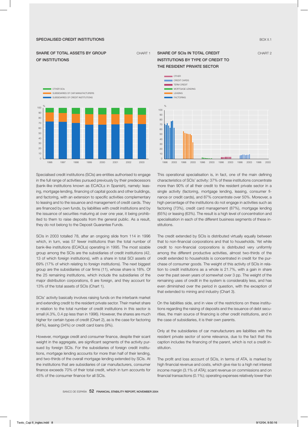#### SPECIALISED CREDIT INSTITUTIONS **BOX II.1** AND INSTITUTIONS **BOX II.1** AND INSTITUTIONS **BOX II.1**

## SHARE OF TOTAL ASSETS BY GROUP CHART 1 OF INSTITUTIONS



Specialised credit institutions (SCIs) are entities authorised to engage in the full range of activities pursued previously by their predecessors (bank-like institutions known as ECAOLs in Spanish), namely: leasing, mortgage lending, financing of capital goods and other buildings, and factoring, with an extension to specific activities complementary to leasing and to the issuance and management of credit cards. They are financed by own funds, by liabilities with credit institutions and by the issuance of securities maturing at over one year, it being prohibited to them to raise deposits from the general public. As a result, they do not belong to the Deposit Guarantee Funds.

SCIs in 2003 totalled 78, after an ongoing slide from 114 in 1996 which, in turn, was 57 fewer institutions than the total number of bank-like institutions (ECAOLs) operating in 1995. The most sizable group among the SCIs are the subsidiaries of credit institutions (42, 13 of which foreign institutions), with a share in total SCI assets of 69% (17% of which relating to foreign institutions). The next biggest group are the subsidiaries of car firms (11), whose share is 18%. Of the 25 remaining institutions, which include the subsidiaries of the major distribution corporations, 6 are foreign, and they account for 13% of the total assets of SCIs (Chart 1).

SCIs' activity basically involves raising funds on the interbank market and extending credit to the resident private sector. Their market share in relation to the total number of credit institutions in this sector is small (4.3%, 0.4 pp less than in 1996). However, the shares are much higher for certain types of credit (Chart 2), as is the case for factoring (64%), leasing (34%) or credit card loans (9%).

However, mortgage credit and consumer finance, despite their scant weight in the aggregate, are significant segments of the activity pursued by foreign SCIs. For the subsidiaries of foreign credit institutions, mortgage lending accounts for more than half of their lending, and two-thirds of the overall mortgage lending extended by SCIs. At the institutions that are subsidiaries of car manufacturers, consumer finance exceeds 70% of their total credit, which in turn accounts for 45% of the consumer finance for all SCIs.

## SHARE OF SCIS IN TOTAL CREDIT CHART 2 INSTITUTIONS BY TYPE OF CREDIT TO THE RESIDENT PRIVATE SECTOR



This operational specialisation is, in fact, one of the main defining characteristics of SCIs' activity: 37% of these institutions concentrate more than 90% of all their credit to the resident private sector in a single activity (factoring, mortgage lending, leasing, consumer finance or credit cards), and 87% concentrate over 50%. Moreover, a high percentage of the institutions do not engage in activities such as factoring (73%), credit card management (87%), mortgage lending (65%) or leasing (63%). The result is a high level of concentration and specialisation in each of the different business segments of these institutions.

The credit extended by SCIs is distributed virtually equally between that to non-financial corporations and that to households. Yet while credit to non-financial corporations is distributed very uniformly among the different productive activities, almost two-thirds of the credit extended to households is concentrated in credit for the purchase of consumer goods. The weight of this activity of SCIs in relation to credit institutions as a whole is 21.7%, with a gain in share over the past seven years of somewhat over 3 pp. The weight of the remaining uses of credit in the system is considerably less, and has even diminished over the period in question, with the exception of that extended to mining and industry (Chart 3).

On the liabilities side, and in view of the restrictions on these institutions regarding the raising of deposits and the issuance of debt securities, the main source of financing is other credit institutions, and in the case of subsidiaries, it is their own parents.

Only at the subsidiaries of car manufacturers are liabilities with the resident private sector of some relevance, due to the fact that this caption includes the financing of the parent, which is not a credit institution.

The profit and loss account of SCIs, in terms of ATA, is marked by high financial revenue and costs, which give rise to a high net interest income margin (3.1% of ATA); scant revenue on commissions and on financial transactions (0.1%); operating expenses relatively lower than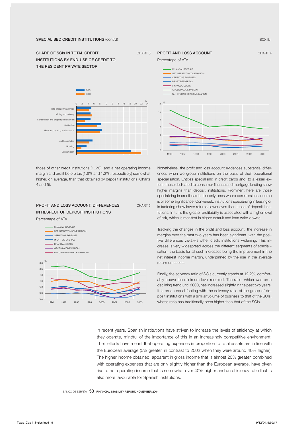SHARE OF SCIS IN TOTAL CREDIT CHART 3 INSTITUTIONS BY END-USE OF CREDIT TO THE RESIDENT PRIVATE SECTOR



those of other credit institutions (1.6%); and a net operating income margin and profit before tax (1.6% and 1.2%, respectively) somewhat higher, on average, than that obtained by deposit institutions (Charts 4 and 5).

# PROFIT AND LOSS ACCOUNT. DIFFERENCES CHART 5 IN RESPECT OF DEPOSIT INSTITUTIONS

Percentage of ATA





Nonetheless, the profit and loss account evidences substantial differences when we group institutions on the basis of their operational specialisation. Entities specialising in credit cards and, to a lesser extent, those dedicated to consumer finance and mortgage lending show higher margins than deposit institutions. Prominent here are those specialising in credit cards, the only ones where commissions income is of some significance. Conversely, institutions specialising in leasing or in factoring show lower returns, lower even than those of deposit institutions. In turn, the greater profitability is associated with a higher level of risk, which is manifest in higher default and loan write-downs.

Tracking the changes in the profit and loss account, the increase in margins over the past two years has been significant, with the positive differences vis-à-vis other credit institutions widening. This increase is very widespread across the different segments of specialisation, the basis for all such increases being the improvement in the net interest income margin, underpinned by the rise in the average return on assets.

Finally, the solvency ratio of SCIs currently stands at 12.2%, comfortably above the minimum level required. The ratio, which was on a declining trend until 2000, has increased slightly in the past two years. It is on an equal footing with the solvency ratio of the group of deposit institutions with a similar volume of business to that of the SCIs, whose ratio has traditionally been higher than that of the SCIs.

In recent years, Spanish institutions have striven to increase the levels of efficiency at which they operate, mindful of the importance of this in an increasingly competitive environment. Their efforts have meant that operating expenses in proportion to total assets are in line with the European average (5% greater, in contrast to 2002 when they were around 40% higher). The higher income obtained, apparent in gross income that is almost 20% greater, combined with operating expenses that are only slightly higher than the European average, have given rise to net operating income that is somewhat over 40% higher and an efficiency ratio that is also more favourable for Spanish institutions.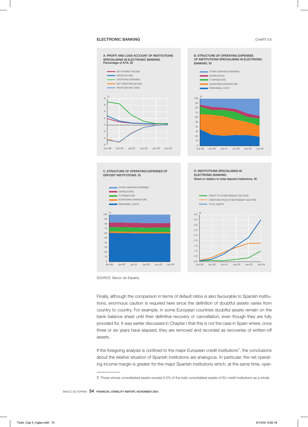### ELECTRONIC BANKING **CHART II.6**



SOURCE: Banco de España.

Finally, although the comparison in terms of default ratios is also favourable to Spanish institutions, enormous caution is required here since the definition of doubtful assets varies from country to country. For example, in some European countries doubtful assets remain on the bank balance sheet until their definitive recovery or cancellation, even though they are fully provided for. It was earlier discussed in Chapter I that this is not the case in Spain where, once three or six years have elapsed, they are removed and recorded as recoveries of written-off assets.

If the foregoing analysis is confined to the major *European credit institutions*<sup>7</sup> , the conclusions about the relative situation of Spanish institutions are analogous. In particular, the net operating income margin is greater for the major Spanish institutions which, at the same time, oper-

<sup>7.</sup> Those whose consolidated assets exceed 0.5% of the total consolidated assets of EU credit institutions as a whole.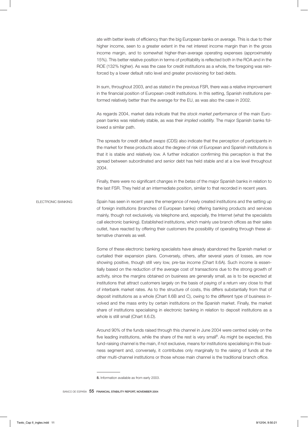ate with better levels of efficiency than the big European banks on average. This is due to their higher income, seen to a greater extent in the net interest income margin than in the gross income margin, and to somewhat higher-than-average operating expenses (approximately 15%). This better relative position in terms of profitability is reflected both in the ROA and in the ROE (132% higher). As was the case for credit institutions as a whole, the foregoing was reinforced by a lower default ratio level and greater provisioning for bad debts.

In sum, throughout 2003, and as stated in the previous FSR, there was a relative improvement in the financial position of European credit institutions. In this setting, Spanish institutions performed relatively better than the average for the EU, as was also the case in 2002.

As regards 2004, market data indicate that the *stock market performance* of the main European banks was relatively stable, as was their *implied volatility.* The major Spanish banks followed a similar path.

The spreads for *credit default swaps* (CDS) also indicate that the perception of participants in the market for these products about the degree of risk of European and Spanish institutions is that it is stable and relatively low. A further indication confirming this perception is that the spread between subordinated and senior debt has held stable and at a low level throughout 2004.

Finally, there were no significant changes in the *betas* of the major Spanish banks in relation to the last FSR. They held at an intermediate position, similar to that recorded in recent years.

ELECTRONIC BANKING Spain has seen in recent years the emergence of newly created institutions and the setting up of foreign institutions (branches of European banks) offering banking products and services mainly, though not exclusively, via telephone and, especially, the Internet (what the specialists call electronic banking). Established institutions, which mainly use branch offices as their sales outlet, have reacted by offering their customers the possibility of operating through these alternative channels as well.

> Some of these electronic banking specialists have already abandoned the Spanish market or curtailed their expansion plans. Conversely, others, after several years of losses, are now showing positive, though still very low, pre-tax income (Chart II.6A). Such income is essentially based on the reduction of the average cost of transactions due to the strong growth of activity, since the margins obtained on business are generally small, as is to be expected at institutions that attract customers largely on the basis of paying of a return very close to that of interbank market rates. As to the structure of costs, this differs substantially from that of deposit institutions as a whole (Chart II.6B and C), owing to the different type of business involved and the mass entry by certain institutions on the Spanish market. Finally, the market share of institutions specialising in electronic banking in relation to deposit institutions as a whole is still small (Chart II.6.D).

> Around 90% of the funds raised through this channel in June 2004 were centred solely on the five leading institutions, while the share of the rest is very small<sup>8</sup>. As might be expected, this fund-raising channel is the main, if not exclusive, means for institutions specialising in this business segment and, conversely, it contributes only marginally to the raising of funds at the other multi-channel institutions or those whose main channel is the traditional branch office.

<sup>8.</sup> Information available as from early 2003.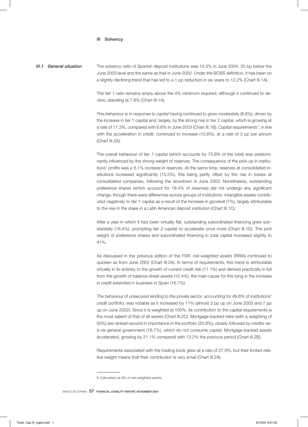#### III Solvency

*III.1 General situation* The *solvency ratio* of Spanish deposit institutions was 10.3% in June 2004, 20 bp below the June 2003 level and the same as that in June 2002. Under the BCBS definition, it has been on a slightly declining trend that has led to a 1 pp reduction in six years to 12.2% (Chart III.1A).

> The *tier 1 ratio* remains amply above the 4% minimum required, although it continued to decline, standing at 7.8% (Chart III.1A).

> This behaviour is in response to *capital* having continued to grow moderately (8.8%), driven by the increase in tier 1 capital and, largely, by the strong rise in tier 2 capital, which is growing at a rate of 17.3%, compared with 6.6% in June 2003 (Chart III.1B). *Capital requirements*<sup>1</sup> , in line with the acceleration in credit, continued to increase (10.8%), at a rate of 3 pp per annum (Chart III.2A).

> The overall behaviour of *tier 1 capital* (which accounts for 75.8% of the total) was predominantly influenced by the strong weight of reserves. The consequence of the pick-up in institutions' profits was a 6.1% increase in reserves. At the same time, reserves at consolidated institutions increased significantly (15.5%), this being partly offset by the rise in losses at consolidated companies, following the slowdown in June 2003. Nonetheless, outstanding preference shares (which account for 18.4% of reserves) did not undergo any significant change, though there were differences across groups of institutions. Intangible assets contributed negatively to tier 1 capital as a result of the increase in goodwill (7%), largely attributable to the rise in the stake in a Latin American deposit institution (Chart III.1C).

> After a year in which it had been virtually flat, outstanding subordinated financing grew substantially (18.4%), prompting *tier 2 capital* to accelerate once more (Chart III.1D). The joint weight of preference shares and subordinated financing in total capital increased slightly to 41%.

> As discussed in the previous edition of the FSR, *risk-weighted assets* (RWA) continued to quicken as from June 2002 (Chart III.2A). In terms of requirements, this trend is attributable virtually in its entirety to the growth of current credit risk (11.1%) and derived practically in full from the growth of balance-sheet assets (12.4%), the main cause for this lying in the increase in credit extended in business in Spain (16.7%).

> The behaviour of unsecured lending to the private sector, accounting for 49.6% of institutions' credit portfolio, was notable as it increased by 11% (almost 3 pp up on June 2003 and 7 pp up on June 2002). Since it is weighted at 100%, its contribution to the capital requirements is the most salient of that of all assets (Chart III.2C). Mortgage-backed risks (with a weighting of 50%) are ranked second in importance in the portfolio (20.9%), closely followed by credits visà-vis general government (18.7%), which do not consume capital. Mortgage-backed assets accelerated, growing by 21.1% compared with 13.2% the previous period (Chart III.2B).

> Requirements associated with the trading book grew at a rate of 27.9%, but their limited relative weight means that their contribution is very small (Chart III.2A).

<sup>1.</sup> Calculated as 8% of risk-weighted assets.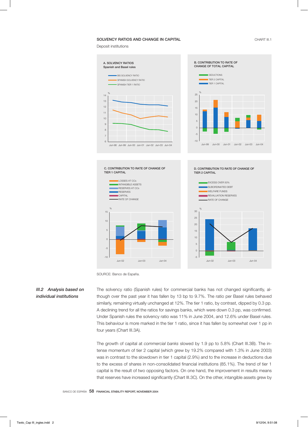#### SOLVENCY RATIOS AND CHANGE IN CAPITAL **CHART III.1** CHART III.1

Deposit institutions









D. CONTRIBUTION TO RATE OF CHANGE OF

SOURCE: Banco de España.

## *III.2 Analysis based on individual institutions*

The solvency ratio (Spanish rules) for commercial banks has not changed significantly, although over the past year it has fallen by 13 bp to 9.7%. The ratio per Basel rules behaved similarly, remaining virtually unchanged at 12%. The tier 1 ratio, by contrast, dipped by 0.3 pp. A declining trend for all the ratios for savings banks, which were down 0.3 pp, was confirmed. Under Spanish rules the solvency ratio was 11% in June 2004, and 12.6% under Basel rules. This behaviour is more marked in the tier 1 ratio, since it has fallen by somewhat over 1 pp in four years (Chart III.3A).

The growth of capital at *commercial banks* slowed by 1.9 pp to 5.8% (Chart III.3B). The intense momentum of tier 2 capital (which grew by 19.2% compared with 1.3% in June 2003) was in contrast to the slowdown in tier 1 capital (2.9%) and to the increase in deductions due to the excess of shares in non-consolidated financial institutions (85.1%). The trend of tier 1 capital is the result of two opposing factors. On one hand, the improvement in results means that reserves have increased significantly (Chart III.3C). On the other, intangible assets grew by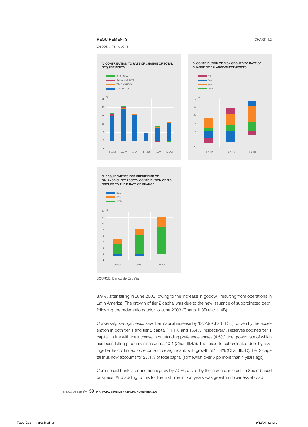## REQUIREMENTS CHART III.2

Deposit institutions

%



C. REQUIREMENTS FOR CREDIT RISK OF BALANCE-SHEET ASSETS. CONTRIBUTION OF RISK GROUPS TO THEIR RATE OF CHANGE



SOURCE: Banco de España.

8.9%, after falling in June 2003, owing to the increase in goodwill resulting from operations in Latin America. The growth of tier 2 capital was due to the new issuance of subordinated debt, following the redemptions prior to June 2003 (Charts III.3D and III.4B).

Conversely, *savings banks* saw their capital increase by 12.2% (Chart III.3B), driven by the acceleration in both tier 1 and tier 2 capital (11.1% and 15.4%, respectively). Reserves boosted tier 1 capital, in line with the increase in outstanding preference shares (4.5%), the growth rate of which has been falling gradually since June 2001 (Chart III.4A). The resort to subordinated debt by savings banks continued to become more significant, with growth of 17.4% (Chart III.3D). Tier 2 capital thus now accounts for 27.1% of total capital (somewhat over 5 pp more than 4 years ago).

Commercial banks' requirements grew by 7.2%, driven by the increase in credit in Spain-based business. And adding to this for the first time in two years was growth in business abroad.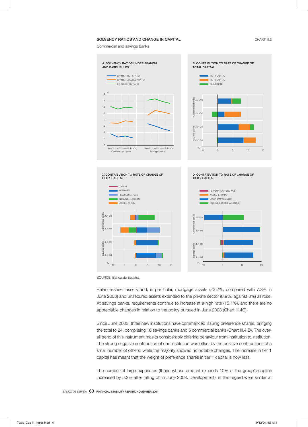### SOLVENCY RATIOS AND CHANGE IN CAPITAL **CHART III.3** CHART III.3

Commercial and savings banks



SOURCE: Banco de España.

Balance-sheet assets and, in particular, mortgage assets (23.2%, compared with 7.3% in June 2003) and unsecured assets extended to the private sector (8.9%, against 3%) all rose. At savings banks, requirements continue to increase at a high rate (15.1%), and there are no appreciable changes in relation to the policy pursued in June 2003 (Chart III.4C).

Since June 2003, three new institutions have commenced issuing preference shares, bringing the total to 24, comprising 18 savings banks and 6 commercial banks (Chart III.4.D). The overall trend of this instrument masks considerably differing behaviour from institution to institution. The strong negative contribution of one institution was offset by the positive contributions of a small number of others, while the majority showed no notable changes. The increase in tier 1 capital has meant that the weight of preference shares in tier 1 capital is now less.

The number of large exposures (those whose amount exceeds 10% of the group's capital) increased by 5.2% after falling off in June 2003. Developments in this regard were similar at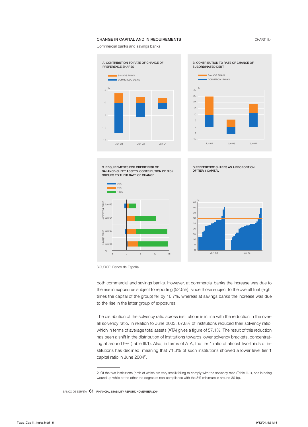### CHANGE IN CAPITAL AND IN REQUIREMENTS **CHART III.4**

Commercial banks and savings banks





C. REQUIREMENTS FOR CREDIT RISK OF BALANCE-SHEET ASSETS. CONTRIBUTION OF RISK GROUPS TO THEIR RATE OF CHANGE





D.PREFERENCE SHARES AS A PROPORTION

OF TIER 1 CAPITAL

SOURCE: Banco de España.

both commercial and savings banks. However, at commercial banks the increase was due to the rise in exposures subject to reporting (52.5%), since those subject to the overall limit (eight times the capital of the group) fell by 16.7%, whereas at savings banks the increase was due to the rise in the latter group of exposures.

The distribution of the solvency ratio across institutions is in line with the reduction in the overall solvency ratio. In relation to June 2003, 67.8% of institutions reduced their solvency ratio, which in terms of average total assets (ATA) gives a figure of 57.1%. The result of this reduction has been a shift in the distribution of institutions towards lower solvency brackets, concentrating at around 9% (Table III.1). Also, in terms of ATA, the tier 1 ratio of almost two-thirds of institutions has declined, meaning that 71.3% of such institutions showed a lower level tier 1 capital ratio in June 2004 $^2$ .

<sup>2.</sup> Of the two institutions (both of which are very small) failing to comply with the solvency ratio (Table III.1), one is being wound up while at the other the degree of non-compliance with the 8% minimum is around 30 bp.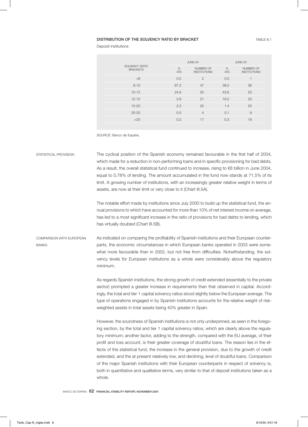### DISTRIBUTION OF THE SOLVENCY RATIO BY BRACKET **TABLE III.1** TABLE III.1

|                                          |                 | JUNE-04                          |                 | JUNE-03                          |
|------------------------------------------|-----------------|----------------------------------|-----------------|----------------------------------|
| <b>SOLVENCY RATIO</b><br><b>BRACKETS</b> | %<br><b>ATA</b> | NUMBER OF<br><b>INSTITUTIONS</b> | %<br><b>ATA</b> | NUMBER OF<br><b>INSTITUTIONS</b> |
| <8                                       | 0.0             | $\overline{2}$                   | 0.0             | ۰                                |
| $8 - 10$                                 | 67.2            | 47                               | 38.5            | 38                               |
| $10 - 12$                                | 24.6            | 55                               | 43.6            | 53                               |
| $12 - 15$                                | 5.8             | 21                               | 16.2            | 33                               |
| $15 - 20$                                | 2.2             | 25                               | 1.4             | 20                               |
| $20 - 25$                                | 0.0             | $\overline{4}$                   | 0.1             | $\overline{9}$                   |
| $>25$                                    | 0.2             | 17                               | 0.3             | 18                               |
|                                          |                 |                                  |                 |                                  |

SOURCE: Banco de España.

STATISTICAL PROVISION The cyclical position of the Spanish economy remained favourable in the first half of 2004, which made for a reduction in non-performing loans and in specific provisioning for bad debts. As a result, the overall statistical fund continued to increase, rising to €8 billion in June 2004, equal to 0.78% of lending. The amount accumulated in the fund now stands at 71.5% of its limit. A growing number of institutions, with an increasingly greater relative weight in terms of assets, are now at their limit or very close to it (Chart III.5A).

> The notable effort made by institutions since July 2000 to build up the statistical fund, the annual provisions to which have accounted for more than 10% of net interest income on average, has led to a most significant increase in the ratio of provisions for bad debts to lending, which has virtually doubled (Chart III.5B).

COMPARISON WITH EUROPEAN **BANKS** As indicated on comparing the profitability of Spanish institutions and their European counterparts, the economic circumstances in which European banks operated in 2003 were somewhat more favourable than in 2002, but not free from difficulties. Notwithstanding, the solvency levels for European institutions as a whole were considerably above the regulatory minimum.

> As regards Spanish institutions, the strong growth of credit extended (essentially to the private sector) prompted a greater increase in requirements than that observed in capital. Accordingly, the total and tier 1 capital solvency ratios stood slightly below the European average. The type of operations engaged in by Spanish institutions accounts for the relative weight of riskweighted assets in total assets being 40% greater in Spain.

> However, the soundness of Spanish institutions is not only underpinned, as seen in the foregoing section, by the total and tier 1 capital solvency ratios, which are clearly above the regulatory minimum; another factor, adding to the strength, compared with the EU average, of their profit and loss account, is their greater coverage of doubtful loans. The reason lies in the effects of the statistical fund, the increase in the general provision, due to the growth of credit extended, and the at present relatively low, and declining, level of doubtful loans. Comparison of the major Spanish institutions with their European counterparts in respect of solvency is, both in quantitative and qualitative terms, very similar to that of deposit institutions taken as a whole.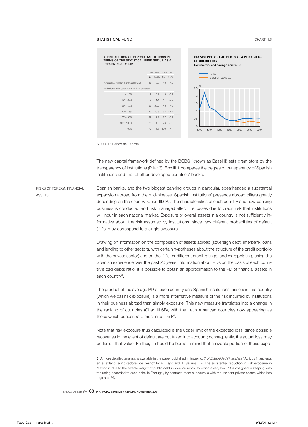#### STATISTICAL FUND CHART III.5

| TERMS OF THE STATISTICAL FUND SET UP AS A<br>PERCENTAGE OF LIMIT |    |                     |            |         |
|------------------------------------------------------------------|----|---------------------|------------|---------|
|                                                                  |    | JUNE 2003 JUNE 2004 |            |         |
|                                                                  |    | No. % ATA No. % ATA |            |         |
| Institutions without a statistical fund                          |    | 46 5.3              |            | 43 7.2  |
| Institutions with percentage of limit covered:                   |    |                     |            |         |
| < 10%                                                            | 9  | 0.9                 | $5-1$      | 0.2     |
| 10%-25%                                                          | 9  | $1.1 -$             | 11         | 2.5     |
| 25%-50%                                                          | 32 | 25.2                | 18         | 7.0     |
| 50%-75%                                                          | 53 | 50.3                |            | 35 44.2 |
| 75%-90%                                                          | 29 | 72                  |            | 27 16.2 |
| 90%-100%                                                         | 23 | 4.8                 |            | 26 8.2  |
| 100%                                                             | 70 |                     | 5.3 100 14 |         |
|                                                                  |    |                     |            |         |

A. DISTRIBUTION OF DEPOSIT INSTITUTIONS IN



SOURCE: Banco de España.

The new capital framework defined by the BCBS (known as Basel II) sets great store by the transparency of institutions (Pillar 3). Box III.1 compares the degree of transparency of Spanish institutions and that of other developed countries' banks.

RISKS OF FOREIGN FINANCIAL **ASSETS** Spanish banks, and the two biggest banking groups in particular, spearheaded a substantial expansion abroad from the mid-nineties. Spanish institutions' presence abroad differs greatly depending on the country (Chart III.6A). The characteristics of each country and how banking business is conducted and risk managed affect the losses due to credit risk that institutions will incur in each national market. Exposure or overall assets in a country is not sufficiently informative about the risk assumed by institutions, since very different probabilities of default (PDs) may correspond to a single exposure.

> Drawing on information on the composition of assets abroad (sovereign debt, interbank loans and lending to other sectors, with certain hypotheses about the structure of the credit portfolio with the private sector) and on the PDs for different credit ratings, and extrapolating, using the Spanish experience over the past 20 years, information about PDs on the basis of each country's bad debts ratio, it is possible to obtain an approximation to the PD of financial assets in each country<sup>3</sup>.

> The product of the average PD of each country and Spanish institutions' assets in that country (which we call risk exposure) is a more informative measure of the risk incurred by institutions in their business abroad than simply exposure. This new measure translates into a change in the ranking of countries (Chart III.6B), with the Latin American countries now appearing as those which concentrate most credit risk<sup>4</sup>.

> Note that risk exposure thus calculated is the upper limit of the expected loss, since possible recoveries in the event of default are not taken into account; consequently, the actual loss may be far off that value. Further, it should be borne in mind that a sizable portion of these expo-

<sup>3.</sup> A more detailed analysis is available in the paper published in issue no. 7 of *Estabilidad Financiera* "Activos financieros en el exterior e indicadores de riesgo" by R. Lago and J. Saurina. 4. The substantial reduction in risk exposure in Mexico is due to the sizable weight of public debt in local currency, to which a very low PD is assigned in keeping with the rating accorded to such debt. In Portugal, by contrast, most exposure is with the resident private sector, which has a greater PD.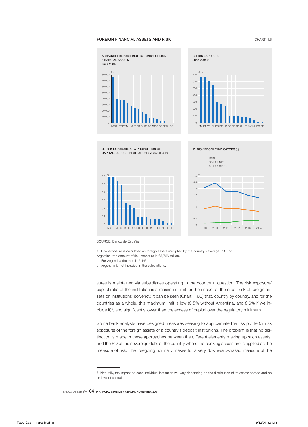#### **FOREIGN FINANCIAL ASSETS AND RISK CHART III.6** CHART III.6



SOURCE: Banco de España.

0

a. Risk exposure is calculated as foreign assets multiplied by the country's average PD. For

Argentina, the amount of risk exposure is €5,766 million.

MX PT VE CL BR DE US CO PE FR UK IT UY NL BO BE

b. For Argentina the ratio is 5.1%.

c. Argentina is not included in the calculations.

sures is maintained via subsidiaries operating in the country in question. The risk exposure/ capital ratio of the institution is a maximum limit for the impact of the credit risk of foreign assets on institutions' solvency. It can be seen (Chart III.6C) that, country by country, and for the countries as a whole, this maximum limit is low (3.5% without Argentina, and 8.6% if we include it) $^5$ , and significantly lower than the excess of capital over the regulatory minimum.

1999 2000 2001 2002 2003 2004

Some bank analysts have designed measures seeking to approximate the risk profile (or risk exposure) of the foreign assets of a country's deposit institutions. The problem is that no distinction is made in these approaches between the different elements making up such assets, and the PD of the sovereign debt of the country where the banking assets are is applied as the measure of risk. The foregoing normally makes for a very downward-biased measure of the

<sup>5.</sup> Naturally, the impact on each individual institution will vary depending on the distribution of its assets abroad and on its level of capital.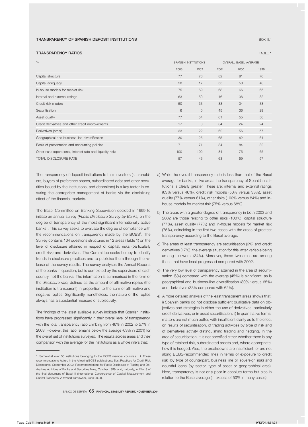#### TRANSPARENCY OF SPANISH DEPOSIT INSTITUTIONS **BOX 1999 TO A CONSTRUCT A CONSTRUCT OF SPANISH** BOX III.1

#### TRANSPARENCY RATIOS **TABLE 1**

| $\%$                                                        |     | SPANISH INSTITUTIONS |      | <b>OVERALL BASEL AVERAGE</b> |      |  |
|-------------------------------------------------------------|-----|----------------------|------|------------------------------|------|--|
|                                                             |     | 2002                 | 2001 | 2000                         | 1999 |  |
| Capital structure                                           | 77  | 76                   | 82   | 81                           | 76   |  |
| Capital adequacy                                            | 58  | 17                   | 55   | 50                           | 48   |  |
| In-house models for market risk                             | 75  | 69                   | 68   | 66                           | 65   |  |
| Internal and external ratings                               | 63  | 50                   | 46   | 36                           | 32   |  |
| Credit risk models                                          | 50  | 33                   | 33   | 34                           | 33   |  |
| Securitisation                                              | 6   | $\circ$              | 45   | 36                           | 29   |  |
| Asset quality                                               | 77  | 54                   | 61   | 55                           | 56   |  |
| Credit derivatives and other credit improvements            | 17  | 8                    | 34   | 24                           | 24   |  |
| Derivatives (other)                                         | 33  | 22                   | 62   | 56                           | 57   |  |
| Geographical and business-line diversification              | 30  | 25                   | 65   | 62                           | 64   |  |
| Basis of presentation and accounting policies               | 71  | 71                   | 84   | 84                           | 82   |  |
| Other risks (operational, interest rate and liquidity risk) | 100 | 100                  | 84   | 75                           | 65   |  |
| <b>TOTAL DISCLOSURE RATE</b>                                | 57  | 46                   | 63   | 59                           | 57   |  |
|                                                             |     |                      |      |                              |      |  |

The transparency of deposit institutions to their investors (shareholders, buyers of preference shares, subordinated debt and other securities issued by the institutions, and depositors) is a key factor in ensuring the appropriate management of banks via the disciplining effect of the financial markets.

The Basel Committee on Banking Supervision decided in 1999 to initiate an annual survey *(Public Disclosure Survey by Banks)* on the degree of transparency of the most significant internationally active banks<sup>1</sup>. This survey seeks to evaluate the degree of compliance with the recommendations on transparency made by the  $BCBS<sup>2</sup>$ . The Survey contains 104 questions structured in 12 areas (Table 1) on the level of disclosure attained in respect of capital, risks (particularly credit risk) and derivatives. The Committee seeks hereby to identify trends in disclosure practices and to publicise them through the release of the survey results. The survey analyses the Annual Reports of the banks in question, but is completed by the supervisors of each country, not the banks. The information is summarised in the form of the *disclosure rate,* defined as the amount of affirmative replies (the institution is transparent) in proportion to the sum of affirmative and negative replies. Significantly, nonetheless, the nature of the replies always has a substantial measure of subjectivity.

The findings of the latest available survey indicate that Spanish institutions have progressed significantly in their overall level of transparency, with the total transparency ratio climbing from 46% in 2002 to 57% in 2003. However, this ratio remains below the average (63% in 2001) for the overall set of institutions surveyed. The results across areas and their comparison with the average for the institutions as a whole infers that:

BANCO DE ESPAÑA 65 FINANCIAL STABILITY REPORT, NOVEMBER 2004

- a) While the overall transparency ratio is less than that of the Basel average for banks, in five areas the transparency of Spanish institutions is clearly greater. These are: internal and external ratings (63% versus 46%), credit risk models (50% versus 33%), asset quality (77% versus 61%), other risks (100% versus 84%) and inhouse models for market risk (75% versus 68%).
- b) The areas with a greater degree of transparency in both 2003 and 2002 are those relating to other risks (100%), capital structure (77%), asset quality (77%) and in-house models for market risk (75%), coinciding in the first two cases with the areas of greatest transparency according to the Basel average.
- c) The areas of least transparency are securitisation (6%) and credit derivatives (17%), the average situation for this latter variable being among the worst (34%). Moreover, these two areas are among those that have least progressed compared with 2002.
- d) The very low level of transparency attained in the area of securitisation (6%) compared with the average (45%) is significant, as is geographical and business-line diversification (30% versus 65%) and derivatives (33% compared with 62%).
- e) A more detailed analysis of the least transparent areas shows that: i) Spanish banks do not disclose sufficient qualitative data on objectives and strategies in either the use of derivatives, particularly credit derivatives, or in asset securitisation. ii) In quantitative terms, matters are not much better, with insufficient clarity as to the effect on results of securitisation, of trading activities by type of risk and of derivatives activity distinguishing trading and hedging. In the area of securitisation, it is not specified either whether there is any type of retained risk, subordinated assets and, where appropriate, how it is hedged. Also, the breakdowns are insufficient, or are not along BCBS-recommended lines in terms of exposure to credit risk (by type of counterpart, business line or sovereign risk) and doubtful loans (by sector, type of asset or geographical area). Here, transparency is not only poor in absolute terms but also in relation to the Basel average (in excess of 50% in many cases).

<sup>1.</sup> Somewhat over 50 institutions belonging to the BCBS member countries. 2. These recommendations feature in the following BCBS publications: Best Practices for Credit Risk Disclosures, September 2000; Recommendations for Public Disclosure of Trading and Derivatives Activities of Banks and Securities firms, October 1999; and, naturally, in Pillar 3 of the final document of Basel II (International Convergence of Capital Measurement and Capital Standards. A revised framework, June 2004).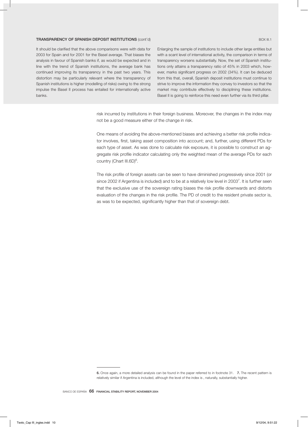#### TRANSPARENCY OF SPANISH DEPOSIT INSTITUTIONS (cont'd) And the control box and the control box iii.1

It should be clarified that the above comparisons were with data for 2003 for Spain and for 2001 for the Basel average. That biases the analysis in favour of Spanish banks if, as would be expected and in line with the trend of Spanish institutions, the average bank has continued improving its transparency in the past two years. This distortion may be particularly relevant where the transparency of Spanish institutions is higher (modelling of risks) owing to the strong impulse the Basel II process has entailed for internationally active banks.

Enlarging the sample of institutions to include other large entities but with a scant level of international activity, the comparison in terms of transparency worsens substantially. Now, the set of Spanish institutions only attains a transparency ratio of 45% in 2003 which, however, marks significant progress on 2002 (34%). It can be deduced from this that, overall, Spanish deposit institutions must continue to strive to improve the information they convey to investors so that the market may contribute effectively to disciplining these institutions. Basel II is going to reinforce this need even further via its third pillar.

risk incurred by institutions in their foreign business. Moreover, the changes in the index may not be a good measure either of the change in risk.

One means of avoiding the above-mentioned biases and achieving a better risk profile indicator involves, first, taking asset composition into account; and, further, using different PDs for each type of asset. As was done to calculate risk exposure, it is possible to construct an aggregate risk profile indicator calculating only the weighted mean of the average PDs for each country (Chart III.6D)<sup>6</sup>.

The risk profile of foreign assets can be seen to have diminished progressively since 2001 (or since 2002 if Argentina is included) and to be at a relatively low level in 2003<sup>7</sup>. It is further seen that the exclusive use of the sovereign rating biases the risk profile downwards and distorts evaluation of the changes in the risk profile. The PD of credit to the resident private sector is, as was to be expected, significantly higher than that of sovereign debt.

<sup>6.</sup> Once again, a more detailed analysis can be found in the paper referred to in footnote 31. 7. The recent pattern is relatively similar if Argentina is included, although the level of the index is , naturally, substantially higher.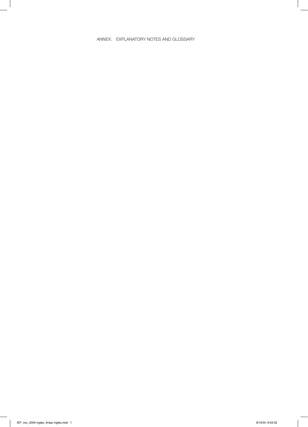## ANNEX: EXPLANATORY NOTES AND GLOSSARY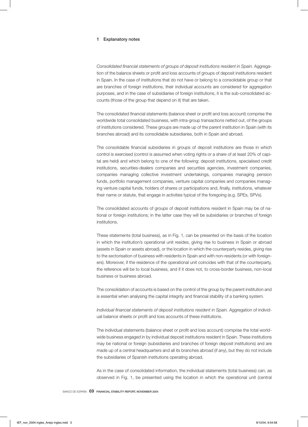#### 1 Explanatory notes

*Consolidated financial statements of groups of deposit institutions resident in Spain.* Aggregation of the balance sheets or profit and loss accounts of groups of deposit institutions resident in Spain. In the case of institutions that do not have or belong to a consolidable group or that are branches of foreign institutions, their individual accounts are considered for aggregation purposes, and in the case of subsidiaries of foreign institutions, it is the sub-consolidated accounts (those of the group that depend on it) that are taken.

The consolidated financial statements (balance sheet or profit and loss account) comprise the worldwide total consolidated business, with intra-group transactions netted out, of the groups of institutions considered. These groups are made up of the parent institution in Spain (with its branches abroad) and its consolidable subsidiaries, both in Spain and abroad.

The consolidable financial subsidiaries in groups of deposit institutions are those in which control is exercised (control is assumed when voting rights or a share of at least 20% of capital are held) and which belong to one of the following: deposit institutions, specialised credit institutions, securities-dealers companies and securities agencies, investment companies, companies managing collective investment undertakings, companies managing pension funds, portfolio management companies, venture capital companies and companies managing venture capital funds, holders of shares or participations and, finally, institutions, whatever their name or statute, that engage in activities typical of the foregoing (e.g. SPEs, SPVs).

The consolidated accounts of groups of deposit institutions resident in Spain may be of national or foreign institutions; in the latter case they will be subsidiaries or branches of foreign institutions.

These statements (total business), as in Fig. 1, can be presented on the basis of the location in which the institution's operational unit resides, giving rise to business in Spain or abroad (assets in Spain or assets abroad), or the location in which the counterparty resides, giving rise to the sectorisation of business with residents in Spain and with non-residents (or with foreigners). Moreover, if the residence of the operational unit coincides with that of the counterparty, the reference will be to local business, and if it does not, to cross-border business, non-local business or business abroad.

The consolidation of accounts is based on the control of the group by the parent institution and is essential when analysing the capital integrity and financial stability of a banking system.

*Individual financial statements of deposit institutions resident in Spain.* Aggregation of individual balance sheets or profit and loss accounts of these institutions.

The individual statements (balance sheet or profit and loss account) comprise the total worldwide business engaged in by individual deposit institutions resident in Spain. These institutions may be national or foreign (subsidiaries and branches of foreign deposit institutions) and are made up of a central headquarters and all its branches abroad (if any), but they do not include the subsidiaries of Spanish institutions operating abroad.

As in the case of consolidated information, the individual statements (total business) can, as observed in Fig. 1, be presented using the location in which the operational unit (central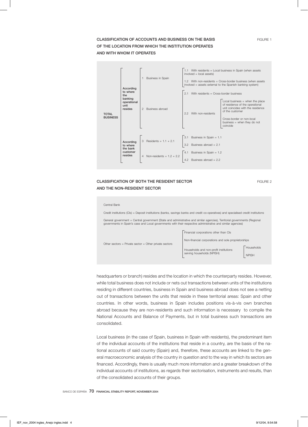# CLASSIFICATION OF ACCOUNTS AND BUSINESS ON THE BASIS **FIGURE 1** FIGURE 1 OF THE LOCATION FROM WHICH THE INSTITUTION OPERATES AND WITH WHOM IT OPERATES



# **CLASSIFICATION OF BOTH THE RESIDENT SECTOR FIGURE 2** FIGURE 2 AND THE NON-RESIDENT SECTOR

| Central Bank                                                                                                                                                                                                                               |                                                     |              |  |  |
|--------------------------------------------------------------------------------------------------------------------------------------------------------------------------------------------------------------------------------------------|-----------------------------------------------------|--------------|--|--|
| Credit institutions (CIs) = Deposit institutions (banks, savings banks and credit co-operatives) and specialised credit institutions                                                                                                       |                                                     |              |  |  |
| General government = Central government (State and administrative and similar agencies), Territorial governments (Regional<br>governments in Spain's case and Local governments with their respective administrative and similar agencies) |                                                     |              |  |  |
|                                                                                                                                                                                                                                            | Financial corporations other than CIs               |              |  |  |
| Other sectors = Private sector = Other private sectors                                                                                                                                                                                     | Non-financial corporations and sole proprietorships |              |  |  |
|                                                                                                                                                                                                                                            | Households and non-profit institutions              | Households   |  |  |
|                                                                                                                                                                                                                                            | serving households (NPISH)                          | <b>NPISH</b> |  |  |
|                                                                                                                                                                                                                                            |                                                     |              |  |  |

headquarters or branch) resides and the location in which the counterparty resides. However, while total business does not include or nets out transactions between units of the institutions residing in different countries, business in Spain and business abroad does not see a netting out of transactions between the units that reside in these territorial areas: Spain and other countries. In other words, business in Spain includes positions vis-à-vis own branches abroad because they are non-residents and such information is necessary to compile the National Accounts and Balance of Payments, but in total business such transactions are consolidated.

Local business (in the case of Spain, business in Spain with residents), the predominant item of the individual accounts of the institutions that reside in a country, are the basis of the national accounts of said country (Spain) and, therefore, these accounts are linked to the general macroeconomic analysis of the country in question and to the way in which its sectors are financed. Accordingly, there is usually much more information and a greater breakdown of the individual accounts of institutions, as regards their sectorisation, instruments and results, than of the consolidated accounts of their groups.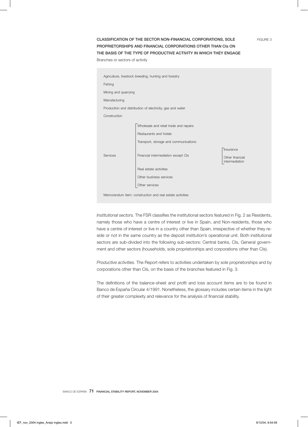# CLASSIFICATION OF THE SECTOR NON-FINANCIAL CORPORATIONS, SOLE FIGURE 3 PROPRIETORSHIPS AND FINANCIAL CORPORATIONS OTHER THAN CIs ON THE BASIS OF THE TYPE OF PRODUCTIVE ACTIVITY IN WHICH THEY ENGAGE

Branches or sectors of activity

| Agriculture, livestock breeding, hunting and forestry    |                                                           |                                                |  |  |  |
|----------------------------------------------------------|-----------------------------------------------------------|------------------------------------------------|--|--|--|
| Fishing                                                  |                                                           |                                                |  |  |  |
| Mining and quarrying                                     |                                                           |                                                |  |  |  |
| Manufacturing                                            |                                                           |                                                |  |  |  |
|                                                          | Production and distribution of electricity, gas and water |                                                |  |  |  |
| Construction                                             |                                                           |                                                |  |  |  |
|                                                          | Wholesale and retail trade and repairs                    |                                                |  |  |  |
|                                                          | Restaurants and hotels                                    |                                                |  |  |  |
|                                                          | Transport, storage and communications                     |                                                |  |  |  |
| Services                                                 | Financial intermediation except CIs                       | Insurance<br>Other financial<br>intermediation |  |  |  |
|                                                          | Real estate activities                                    |                                                |  |  |  |
|                                                          | Other business services                                   |                                                |  |  |  |
|                                                          | Other services                                            |                                                |  |  |  |
| Memorandum item: construction and real estate activities |                                                           |                                                |  |  |  |

*Institutional sectors.* The FSR classifies the institutional sectors featured in Fig. 2 as Residents, namely those who have a centre of interest or live in Spain, and Non-residents, those who have a centre of interest or live in a country other than Spain, irrespective of whether they reside or not in the same country as the deposit institution's operational unit. Both institutional sectors are sub-divided into the following sub-sectors: Central banks, CIs, General government and other sectors (households, sole proprietorships and corporations other than CIs).

*Productive activities.* The Report refers to activities undertaken by sole proprietorships and by corporations other than CIs, on the basis of the branches featured in Fig. 3.

The definitions of the balance-sheet and profit and loss account items are to be found in Banco de España Circular 4/1991. Nonetheless, the glossary includes certain items in the light of their greater complexity and relevance for the analysis of financial stability.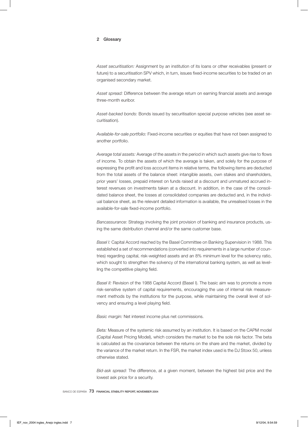#### 2 Glossary

*Asset securitisation:* Assignment by an institution of its loans or other receivables (present or future) to a securitisation SPV which, in turn, issues fixed-income securities to be traded on an organised secondary market.

*Asset spread:* Difference between the average return on earning financial assets and average three-month euribor.

*Asset-backed bonds:* Bonds issued by securitisation special purpose vehicles (see asset securitisation).

*Available-for-sale portfolio:* Fixed-income securities or equities that have not been assigned to another portfolio.

*Average total assets:* Average of the assets in the period in which such assets give rise to flows of income. To obtain the assets of which the average is taken, and solely for the purpose of expressing the profit and loss account items in relative terms, the following items are deducted from the total assets of the balance sheet: intangible assets, own stakes and shareholders, prior years' losses, prepaid interest on funds raised at a discount and unmatured accrued interest revenues on investments taken at a discount. In addition, in the case of the consolidated balance sheet, the losses at consolidated companies are deducted and, in the individual balance sheet, as the relevant detailed information is available, the unrealised losses in the available-for-sale fixed-income portfolio.

*Bancassurance:* Strategy involving the joint provision of banking and insurance products, using the same distribution channel and/or the same customer base.

*Basel I:* Capital Accord reached by the Basel Committee on Banking Supervision in 1988. This established a set of recommendations (converted into requirements in a large number of countries) regarding capital, risk-weighted assets and an 8% minimum level for the solvency ratio, which sought to strengthen the solvency of the international banking system, as well as levelling the competitive playing field.

*Basel II:* Revision of the 1988 Capital Accord (Basel I). The basic aim was to promote a more risk-sensitive system of capital requirements, encouraging the use of internal risk measurement methods by the institutions for the purpose, while maintaining the overall level of solvency and ensuring a level playing field.

*Basic margin:* Net interest income plus net commissions.

*Beta:* Measure of the systemic risk assumed by an institution. It is based on the CAPM model (Capital Asset Pricing Model), which considers the market to be the sole risk factor. The beta is calculated as the covariance between the returns on the share and the market, divided by the variance of the market return. In the FSR, the market index used is the DJ Stoxx 50, unless otherwise stated.

*Bid-ask spread:* The difference, at a given moment, between the highest bid price and the lowest ask price for a security.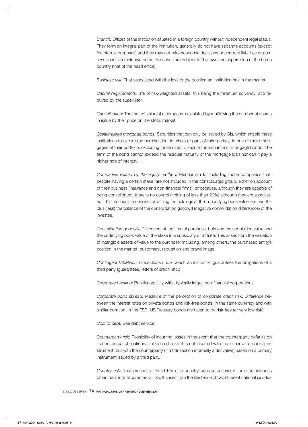*Branch:* Offices of the institution situated in a foreign country without independent legal status. They form an integral part of the institution, generally do not have separate accounts (except for internal purposes) and they may not take economic decisions or contract liabilities or possess assets in their own name. Branches are subject to the laws and supervision of the home country (that of the head office).

*Business risk:* That associated with the loss of the position an institution has in the market.

*Capital requirements:* 8% of risk-weighted assets, this being the minimum solvency ratio required by the supervisor.

*Capitalisation:* The market value of a company, calculated by multiplying the number of shares in issue by their price on the stock market.

*Collateralised mortgage bonds:* Securities that can only be issued by CIs, which enable these institutions to secure the participation, in whole or part, of third parties, in one or more mortgages of their portfolio, excluding those used to secure the issuance of mortgage bonds. The term of the bond cannot exceed the residual maturity of the mortgage loan nor can it pay a higher rate of interest.

*Companies valued by the equity method:* Mechanism for including those companies that, despite having a certain stake, are not included in the consolidated group, either on account of their business (insurance and non-financial firms), or because, although they are capable of being consolidated, there is no control (holding of less than 20%) although they are associated. This mechanism consists of valuing the holdings at their underlying book value –net worth– plus (less) the balance of the consolidation goodwill (negative consolidation differences) of the investee.

*Consolidation goodwill:* Difference, at the time of purchase, between the acquisition value and the underlying book value of the stake in a subsidiary or affiliate. This arises from the valuation of intangible assets of value to the purchaser including, among others, the purchased entity's position in the market, customers, reputation and brand image.

*Contingent liabilities:* Transactions under which an institution guarantees the obligations of a third party (guarantees, letters of credit, etc.)

*Corporate banking:* Banking activity with –typically large– non-financial corporations.

*Corporate bond spread:* Measure of the perception of corporate credit risk. Difference between the interest rates on private bonds and risk-free bonds, in the same currency and with similar duration. In the FSR, US Treasury bonds are taken to be risk-free (or very low risk).

*Cost of debt:* See debt service.

*Counterparty risk:* Possibility of incurring losses in the event that the counterparty defaults on its contractual obligations. Unlike credit risk, it is not incurred with the issuer of a financial instrument, but with the counterparty of a transaction (normally a derivative) based on a primary instrument issued by a third party.

*Country risk:* That present in the debts of a country considered overall for circumstances other than normal commercial risk. It arises from the existence of two different national jurisdic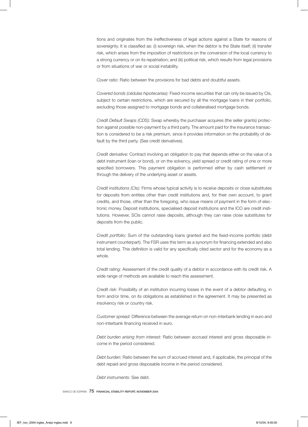tions and originates from the ineffectiveness of legal actions against a State for reasons of sovereignty. It is classified as: (i) sovereign risk, when the debtor is the State itself; (ii) transfer risk, which arises from the imposition of restrictions on the conversion of the local currency to a strong currency or on its repatriation; and (iii) political risk, which results from legal provisions or from situations of war or social instability.

*Cover ratio:* Ratio between the provisions for bad debts and doubtful assets.

*Covered bonds (cédulas hipotecarias):* Fixed-income securities that can only be issued by CIs, subject to certain restrictions, which are secured by all the mortgage loans in their portfolio, excluding those assigned to mortgage bonds and collateralised mortgage bonds.

*Credit Default Swaps (CDS):* Swap whereby the purchaser acquires (the seller grants) protection against possible non-payment by a third party. The amount paid for the insurance transaction is considered to be a risk premium, since it provides information on the probability of default by the third party. (See credit derivatives).

*Credit derivative:* Contract involving an obligation to pay that depends either on the value of a debt instrument (loan or bond), or on the solvency, yield spread or credit rating of one or more specified borrowers. This payment obligation is performed either by cash settlement or through the delivery of the underlying asset or assets.

*Credit institutions (CIs):* Firms whose typical activity is to receive deposits or close substitutes for deposits from entities other than credit institutions and, for their own account, to grant credits, and those, other than the foregoing, who issue means of payment in the form of electronic money. Deposit institutions, specialised deposit institutions and the ICO are credit institutions. However, SCIs cannot raise deposits, although they can raise close substitutes for deposits from the public.

*Credit portfolio:* Sum of the outstanding loans granted and the fixed-income portfolio (debt instrument counterpart). The FSR uses this term as a synonym for financing extended and also total lending. This definition is valid for any specifically cited sector and for the economy as a whole.

*Credit rating:* Assessment of the credit quality of a debtor in accordance with its credit risk. A wide range of methods are available to reach this assessment.

*Credit risk:* Possibility of an institution incurring losses in the event of a debtor defaulting, in form and/or time, on its obligations as established in the agreement. It may be presented as insolvency risk or country risk.

*Customer spread:* Difference between the average return on non-interbank lending in euro and non-interbank financing received in euro.

*Debt burden arising from interest:* Ratio between accrued interest and gross disposable income in the period considered.

*Debt burden:* Ratio between the sum of accrued interest and, if applicable, the principal of the debt repaid and gross disposable income in the period considered.

*Debt instruments:* See debt.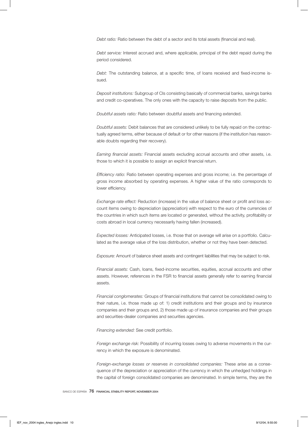*Debt ratio:* Ratio between the debt of a sector and its total assets (financial and real).

*Debt service:* Interest accrued and, where applicable, principal of the debt repaid during the period considered.

*Debt:* The outstanding balance, at a specific time, of loans received and fixed-income issued.

*Deposit institutions:* Subgroup of CIs consisting basically of commercial banks, savings banks and credit co-operatives. The only ones with the capacity to raise deposits from the public.

*Doubtful assets ratio:* Ratio between doubtful assets and financing extended.

*Doubtful assets:* Debit balances that are considered unlikely to be fully repaid on the contractually agreed terms, either because of default or for other reasons (if the institution has reasonable doubts regarding their recovery).

*Earning financial assets:* Financial assets excluding accrual accounts and other assets, i.e. those to which it is possible to assign an explicit financial return.

*Efficiency ratio:* Ratio between operating expenses and gross income; i.e. the percentage of gross income absorbed by operating expenses. A higher value of the ratio corresponds to lower efficiency.

*Exchange rate effect:* Reduction (increase) in the value of balance sheet or profit and loss account items owing to depreciation (appreciation) with respect to the euro of the currencies of the countries in which such items are located or generated, without the activity, profitability or costs abroad in local currency necessarily having fallen (increased).

*Expected losses:* Anticipated losses, i.e. those that on average will arise on a portfolio. Calculated as the average value of the loss distribution, whether or not they have been detected.

*Exposure:* Amount of balance sheet assets and contingent liabilities that may be subject to risk.

*Financial assets:* Cash, loans, fixed-income securities, equities, accrual accounts and other assets. However, references in the FSR to financial assets generally refer to earning financial assets.

*Financial conglomerates:* Groups of financial institutions that cannot be consolidated owing to their nature, i.e. those made up of: 1) credit institutions and their groups and by insurance companies and their groups and, 2) those made up of insurance companies and their groups and securities-dealer companies and securities agencies.

*Financing extended:* See credit portfolio.

*Foreign exchange risk:* Possibility of incurring losses owing to adverse movements in the currency in which the exposure is denominated.

*Foreign-exchange losses or reserves in consolidated companies:* These arise as a consequence of the depreciation or appreciation of the currency in which the unhedged holdings in the capital of foreign consolidated companies are denominated. In simple terms, they are the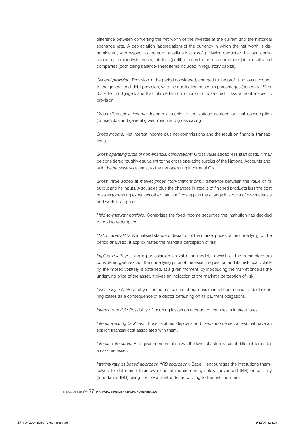difference between converting the net worth of the investee at the current and the historical exchange rate. A depreciation (appreciation) of the currency in which the net worth is denominated, with respect to the euro, entails a loss (profit). Having deducted that part corresponding to minority interests, this loss (profit) is recorded as losses (reserves) in consolidated companies (both being balance-sheet items included in regulatory capital).

*General provision:* Provision in the period considered, charged to the profit and loss account, to the general bad-debt provision, with the application of certain percentages (generally 1% or 0.5% for mortgage loans that fulfil certain conditions) to those credit risks without a specific provision.

*Gross disposable income:* Income available to the various sectors for final consumption (households and general government) and gross saving.

*Gross income:* Net interest income plus net commissions and the result on financial transactions.

*Gross operating profit of non-financial corporations:* Gross value added less staff costs. It may be considered roughly equivalent to the gross operating surplus of the National Accounts and, with the necessary caveats, to the net operating income of CIs.

*Gross value added at market prices (non-financial firm):* difference between the value of its output and its inputs. Also, sales plus the changes in stocks of finished products less the cost of sales (operating expenses other than staff costs) plus the change in stocks of raw materials and work in progress.

*Held-to-maturity portfolio:* Comprises the fixed-income securities the institution has decided to hold to redemption.

*Historical volatility:* Annualised standard deviation of the market prices of the underlying for the period analysed. It approximates the market's perception of risk.

*Implied volatility:* Using a particular option valuation model, in which all the parameters are considered given except the underlying price of the asset in question and its historical volatility, the implied volatility is obtained, at a given moment, by introducing the market price as the underlying price of the asset. It gives an indication of the market's perception of risk.

*Insolvency risk:* Possibility in the normal course of business (normal commercial risk), of incurring losses as a consequence of a debtor defaulting on its payment obligations.

*Interest rate risk:* Possibility of incurring losses on account of changes in interest rates.

*Interest-bearing liabilities:* Those liabilities (deposits and fixed-income securities) that have an explicit financial cost associated with them.

*Interest-rate curve:* At a given moment, it shows the level of actual rates at different terms for a risk-free asset.

*Internal ratings based approach (IRB approach):* Basel II encourages the institutions themselves to determine their own capital requirements, solely (advanced IRB) or partially (foundation IRB) using their own methods, according to the risk incurred.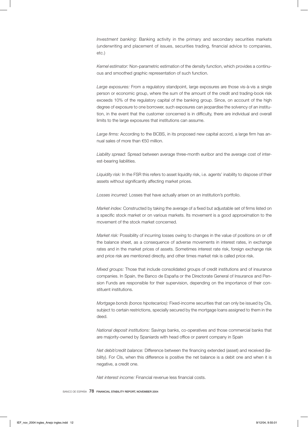*Investment banking:* Banking activity in the primary and secondary securities markets (underwriting and placement of issues, securities trading, financial advice to companies, etc.)

*Kernel estimator:* Non-parametric estimation of the density function, which provides a continuous and smoothed graphic representation of such function.

*Large exposures:* From a regulatory standpoint, large exposures are those vis-à-vis a single person or economic group, where the sum of the amount of the credit and trading-book risk exceeds 10% of the regulatory capital of the banking group. Since, on account of the high degree of exposure to one borrower, such exposures can jeopardise the solvency of an institution, in the event that the customer concerned is in difficulty, there are individual and overall limits to the large exposures that institutions can assume.

*Large firms:* According to the BCBS, in its proposed new capital accord, a large firm has annual sales of more than €50 million.

*Liability spread:* Spread between average three-month euribor and the average cost of interest-bearing liabilities.

*Liquidity risk:* In the FSR this refers to asset liquidity risk, i.e. agents' inability to dispose of their assets without significantly affecting market prices.

*Losses incurred:* Losses that have actually arisen on an institution's portfolio.

*Market index:* Constructed by taking the average of a fixed but adjustable set of firms listed on a specific stock market or on various markets. Its movement is a good approximation to the movement of the stock market concerned.

*Market risk:* Possibility of incurring losses owing to changes in the value of positions on or off the balance sheet, as a consequence of adverse movements in interest rates, in exchange rates and in the market prices of assets. Sometimes interest rate risk, foreign exchange risk and price risk are mentioned directly, and other times market risk is called price risk.

*Mixed groups:* Those that include consolidated groups of credit institutions and of insurance companies. In Spain, the Banco de España or the Directorate General of Insurance and Pension Funds are responsible for their supervision, depending on the importance of their constituent institutions.

*Mortgage bonds (bonos hipotecarios):* Fixed-income securities that can only be issued by CIs, subject to certain restrictions, specially secured by the mortgage loans assigned to them in the deed.

*National deposit institutions:* Savings banks, co-operatives and those commercial banks that are majority-owned by Spaniards with head office or parent company in Spain

*Net debit/credit balance:* Difference between the financing extended (asset) and received (liability). For CIs, when this difference is positive the net balance is a debit one and when it is negative, a credit one.

*Net interest income:* Financial revenue less financial costs.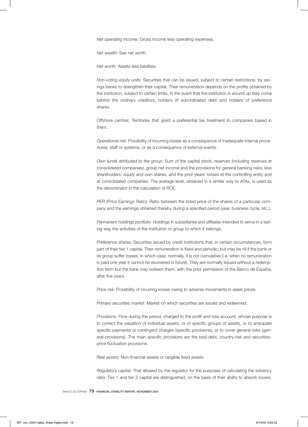*Net operating income:* Gross income less operating expenses.

*Net wealth:* See net worth.

*Net worth:* Assets less liabilities.

*Non-voting equity units:* Securities that can be issued, subject to certain restrictions, by savings banks to strengthen their capital. Their remuneration depends on the profits obtained by the institution, subject to certain limits. In the event that the institution is wound up they come behind the ordinary creditors, holders of subordinated debt and holders of preference shares.

*Offshore centres:* Territories that grant a preferential tax treatment to companies based in them.

*Operational risk:* Possibility of incurring losses as a consequence of inadequate internal procedures, staff or systems, or as a consequence of external events.

*Own funds attributed to the group:* Sum of the capital stock, reserves (including reserves at consolidated companies), group net income and the provisions for general banking risks, less shareholders' equity and own stakes, and the prior years' losses at the controlling entity and at consolidated companies. The average level, obtained in a similar way to ATAs, is used as the denominator in the calculation of ROE.

*PER (Price Earnings Ratio):* Ratio between the listed price of the shares of a particular company and the earnings obtained thereby during a specified period (year, business cycle, etc.).

*Permanent holdings portfolio:* Holdings in subsidiaries and affiliates intended to serve in a lasting way the activities of the institution or group to which it belongs.

*Preference shares:* Securities issued by credit institutions that, in certain circumstances, form part of their tier 1 capital. Their remuneration is fixed and periodic, but may be nil if the bank or its group suffer losses, in which case, normally, it is not cumulative (i.e. when no remuneration is paid one year it cannot be recovered in future). They are normally issued without a redemption term but the bank may redeem them, with the prior permission of the Banco de España, after five years.

*Price risk:* Possibility of incurring losses owing to adverse movements in asset prices.

*Primary securities market:* Market on which securities are issued and redeemed.

*Provisions:* Flow during the period, charged to the profit and loss account, whose purpose is to correct the valuation of individual assets, or of specific groups of assets, or to anticipate specific payments or contingent charges (specific provisions), or to cover general risks (general provisions). The main specific provisions are the bad-debt, country-risk and securitiesprice fluctuation provisions.

*Real assets:* Non-financial assets or tangible fixed assets.

*Regulatory capital:* That allowed by the regulator for the purposes of calculating the solvency ratio. Tier 1 and tier 2 capital are distinguished, on the basis of their ability to absorb losses.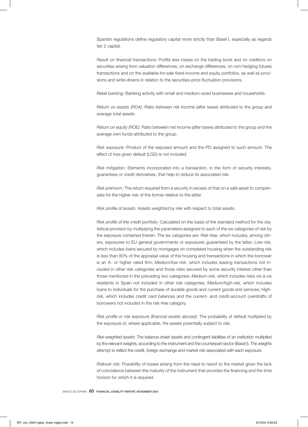Spanish regulations define regulatory capital more strictly than Basel I, especially as regards tier 2 capital.

*Result on financial transactions:* Profits less losses on the trading book and on creditors on securities arising from valuation differences, on exchange differences, on non-hedging futures transactions and on the available-for-sale fixed-income and equity portfolios, as well as provisions and write-downs in relation to the securities-price fluctuation provisions.

*Retail banking:* Banking activity with small and medium-sized businesses and households.

*Return on assets (ROA):* Ratio between net income (after taxes) attributed to the group and average total assets.

*Return on equity (ROE):* Ratio between net income (after taxes) attributed to the group and the average own funds attributed to the group.

*Risk exposure:* Product of the exposed amount and the PD assigned to such amount. The effect of loss given default (LGD) is not included.

*Risk mitigation:* Elements incorporated into a transaction, in the form of security interests, guarantees or credit derivatives, that help to reduce its associated risk.

*Risk premium:* The return required from a security in excess of that on a safe asset to compensate for the higher risk of the former relative to the latter.

*Risk profile of assets:* Assets weighted by risk with respect to total assets.

*Risk profile of the credit portfolio:* Calculated on the basis of the standard method for the statistical provision by multiplying the parameters assigned to each of the six categories of risk by the exposure contained therein. The six categories are: *Risk-free,* which includes, among others, exposures to EU general governments or exposures guaranteed by the latter; *Low-risk,* which includes loans secured by mortgages on completed housing when the outstanding risk is less than 80% of the appraisal value of the housing and transactions in which the borrower is an A- or higher rated firm; *Medium/low-risk,* which includes leasing transactions not included in other risk categories and those risks secured by some security interest other than those mentioned in the preceding two categories; *Medium-risk,* which includes risks vis-à-vis residents in Spain not included in other risk categories; *Medium/high-risk,* which includes loans to individuals for the purchase of durable goods and current goods and services; *Highrisk,* which includes credit card balances and the current- and credit-account overdrafts of borrowers not included in the risk-free category.

*Risk profile or risk exposure (financial assets abroad):* The probability of default multiplied by the exposure or, where applicable, the assets potentially subject to risk.

*Risk-weighted assets:* The balance-sheet assets and contingent liabilities of an institution multiplied by the relevant weights, according to the instrument and the counterpart sector (Basel I). The weights attempt to reflect the credit, foreign exchange and market risk associated with each exposure.

*Rollover risk:* Possibility of losses arising from the need to resort to the market given the lack of coincidence between the maturity of the instrument that provides the financing and the time horizon for which it is required.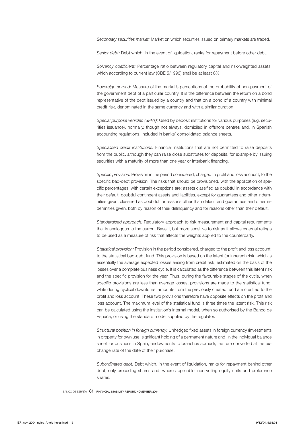*Secondary securities market:* Market on which securities issued on primary markets are traded.

*Senior debt:* Debt which, in the event of liquidation, ranks for repayment before other debt.

*Solvency coefficient:* Percentage ratio between regulatory capital and risk-weighted assets, which according to current law (CBE 5/1993) shall be at least 8%.

*Sovereign spread:* Measure of the market's perceptions of the probability of non-payment of the government debt of a particular country. It is the difference between the return on a bond representative of the debt issued by a country and that on a bond of a country with minimal credit risk, denominated in the same currency and with a similar duration.

*Special purpose vehicles (SPVs):* Used by deposit institutions for various purposes (e.g. securities issuance), normally, though not always, domiciled in offshore centres and, in Spanish accounting regulations, included in banks' consolidated balance sheets.

*Specialised credit institutions:* Financial institutions that are not permitted to raise deposits from the public, although they can raise close substitutes for deposits, for example by issuing securities with a maturity of more than one year or interbank financing.

*Specific provision:* Provision in the period considered, charged to profit and loss account, to the specific bad-debt provision. The risks that should be provisioned, with the application of specific percentages, with certain exceptions are: assets classified as doubtful in accordance with their default, doubtful contingent assets and liabilities, except for guarantees and other indemnities given, classified as doubtful for reasons other than default and guarantees and other indemnities given, both by reason of their delinquency and for reasons other than their default.

*Standardised approach:* Regulatory approach to risk measurement and capital requirements that is analogous to the current Basel I, but more sensitive to risk as it allows external ratings to be used as a measure of risk that affects the weights applied to the counterparty.

*Statistical provision:* Provision in the period considered, charged to the profit and loss account, to the statistical bad-debt fund. This provision is based on the latent (or inherent) risk, which is essentially the average expected losses arising from credit risk, estimated on the basis of the losses over a complete business cycle. It is calculated as the difference between this latent risk and the specific provision for the year. Thus, during the favourable stages of the cycle, when specific provisions are less than average losses, provisions are made to the statistical fund, while during cyclical downturns, amounts from the previously created fund are credited to the profit and loss account. These two provisions therefore have opposite effects on the profit and loss account. The maximum level of the statistical fund is three times the latent risk. This risk can be calculated using the institution's internal model, when so authorised by the Banco de España, or using the standard model supplied by the regulator.

*Structural position in foreign currency:* Unhedged fixed assets in foreign currency (investments in property for own use, significant holding of a permanent nature and, in the individual balance sheet for business in Spain, endowments to branches abroad), that are converted at the exchange rate of the date of their purchase.

*Subordinated debt:* Debt which, in the event of liquidation, ranks for repayment behind other debt, only preceding shares and, where applicable, non-voting equity units and preference shares.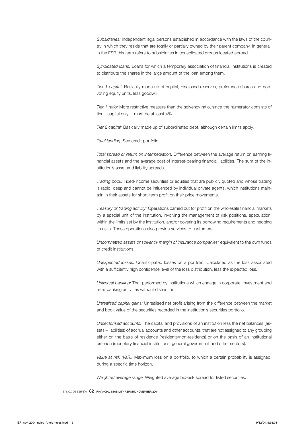*Subsidiaries:* Independent legal persons established in accordance with the laws of the country in which they reside that are totally or partially owned by their parent company. In general, in the FSR this term refers to subsidiaries in consolidated groups located abroad.

*Syndicated loans:* Loans for which a temporary association of financial institutions is created to distribute the shares in the large amount of the loan among them.

*Tier 1 capital:* Basically made up of capital, disclosed reserves, preference shares and nonvoting equity units, less goodwill.

*Tier 1 ratio:* More restrictive measure than the solvency ratio, since the numerator consists of tier 1 capital only. It must be at least 4%.

*Tier 2 capital:* Basically made up of subordinated debt, although certain limits apply.

*Total lending:* See credit portfolio.

*Total spread or return on intermediation:* Difference between the average return on earning financial assets and the average cost of interest-bearing financial liabilities. The sum of the institution's asset and liability spreads.

*Trading book:* Fixed-income securities or equities that are publicly quoted and whose trading is rapid, deep and cannot be influenced by individual private agents, which institutions maintain in their assets for short-term profit on their price movements.

*Treasury or trading activity:* Operations carried out for profit on the wholesale financial markets by a special unit of the institution, involving the management of risk positions, speculation, within the limits set by the institution, and/or covering its borrowing requirements and hedging its risks. These operations also provide services to customers.

*Uncommitted assets or solvency margin of insurance companies:* equivalent to the own funds of credit institutions.

*Unexpected losses:* Unanticipated losses on a portfolio. Calculated as the loss associated with a sufficiently high confidence level of the loss distribution, less the expected loss.

*Universal banking:* That performed by institutions which engage in corporate, investment and retail banking activities without distinction.

*Unrealised capital gains:* Unrealised net profit arising from the difference between the market and book value of the securities recorded in the institution's securities portfolio.

*Unsectorised accounts:* The capital and provisions of an institution less the net balances (assets – liabilities) of accrual accounts and other accounts, that are not assigned to any grouping either on the basis of residence (residents/non-residents) or on the basis of an institutional criterion (monetary financial institutions, general government and other sectors).

*Value at risk (VaR):* Maximum loss on a portfolio, to which a certain probability is assigned, during a specific time horizon.

*Weighted average range:* Weighted average bid-ask spread for listed securities.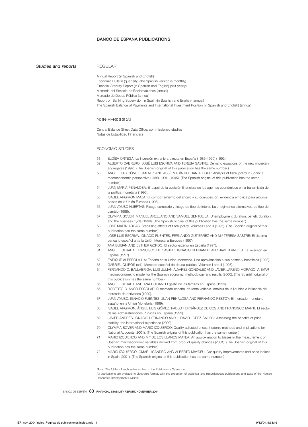# BANCO DE ESPAÑA PUBLICATIONS

**Studies and reports** REGULAR

|    | Economic Bulletin (quarterly) (the Spanish version is monthly)<br>Financial Stability Report (in Spanish and English) (half-yearly)<br>Memoria del Servicio de Reclamaciones (annual)<br>Mercado de Deuda Pública (annual)<br>Report on Banking Supervision in Spain (in Spanish and English) (annual)<br>The Spanish Balance of Payments and International Investment Position (in Spanish and English) (annual) |
|----|-------------------------------------------------------------------------------------------------------------------------------------------------------------------------------------------------------------------------------------------------------------------------------------------------------------------------------------------------------------------------------------------------------------------|
|    | NON-PERIODICAL                                                                                                                                                                                                                                                                                                                                                                                                    |
|    | Central Balance Sheet Data Office: commissioned studies<br>Notas de Estabilidad Financiera                                                                                                                                                                                                                                                                                                                        |
|    | ECONOMIC STUDIES                                                                                                                                                                                                                                                                                                                                                                                                  |
| 51 | ELOISA ORTEGA: La inversión extranjera directa en España (1986-1990) (1992).                                                                                                                                                                                                                                                                                                                                      |
| 52 | ALBERTO CABRERO, JOSÉ LUIS ESCRIVÁ AND TERESA SASTRE: Demand equations of the new monetary<br>aggregates (1992). (The Spanish original of this publication has the same number.)                                                                                                                                                                                                                                  |
| 53 | ÁNGEL LUIS GÓMEZ JIMÉNEZ AND JOSÉ MARÍA ROLDÁN ALEGRE: Analysis of fiscal policy in Spain: a<br>macroeconomic perspective (1988-1994) (1995). (The Spanish original of this publication has the same                                                                                                                                                                                                              |
| 54 | number.)<br>JUAN MARIA PENALOSA: El papel de la posición financiera de los agentes económicos en la transmisión de                                                                                                                                                                                                                                                                                                |
| 55 | la política monetaria (1996).<br>ISABEL ARGIMON MAZA: El comportamiento del ahorro y su composición: evidencia empírica para algunos<br>países de la Unión Europea (1996).                                                                                                                                                                                                                                        |
| 56 | JUAN AYUSO HUERTAS: Riesgo cambiario y riesgo de tipo de interés bajo regímenes alternativos de tipo de<br>cambio (1996).                                                                                                                                                                                                                                                                                         |
| 57 | OLYMPIA BOVER, MANUEL ARELLANO AND SAMUEL BENTOLILA: Unemployment duration, benefit duration,<br>and the business cycle (1996). (The Spanish original of this publication has the same number.)                                                                                                                                                                                                                   |
| 58 | JOSE MARIN ARCAS: Stabilising effects of fiscal policy. Volumes I and II (1997). (The Spanish original of this<br>publication has the same number.)                                                                                                                                                                                                                                                               |
| 59 | JOSÉ LUIS ESCRIVÁ, IGNACIO FUENTES, FERNANDO GUTIÉRREZ AND M.ª TERESA SASTRE: El sistema<br>bancario español ante la Unión Monetaria Europea (1997).                                                                                                                                                                                                                                                              |
| 60 | ANA BUISAN AND ESTHER GORDO: El sector exterior en España (1997).                                                                                                                                                                                                                                                                                                                                                 |
| 61 | ANGEL ESTRADA, FRANCISCO DE CASTRO, IGNACIO HERNANDO AND JAVIER VALLÉS: La inversión en<br>España (1997).                                                                                                                                                                                                                                                                                                         |
| 62 | ENRIQUE ALBEROLA ILA: España en la Unión Monetaria. Una aproximación a sus costes y beneficios (1998).                                                                                                                                                                                                                                                                                                            |
| 63 | GABRIEL QUIROS (ed.): Mercado español de deuda pública. Volumes I and II (1998).                                                                                                                                                                                                                                                                                                                                  |
| 64 | FERNANDO C. BALLABRIGA, LUIS JULIÁN ÁLVAREZ GONZÁLEZ AND JAVIER JAREÑO MORAGO: A BVAR<br>macroeconometric model for the Spanish economy: methodology and results (2000). (The Spanish original of<br>this publication has the same number.)                                                                                                                                                                       |
| 65 | ÁNGEL ESTRADA AND ANA BUISÁN: El gasto de las familias en España (1999).                                                                                                                                                                                                                                                                                                                                          |
| 66 | ROBERTO BLANCO ESCOLAR: El mercado español de renta variable. Análisis de la liquidez e influencia del<br>mercado de derivados (1999).                                                                                                                                                                                                                                                                            |
| 67 | JUAN AYUSO, IGNACIO FUENTES, JUAN PENALOSA AND FERNANDO RESTOY: El mercado monetario<br>español en la Unión Monetaria (1999).                                                                                                                                                                                                                                                                                     |
| 68 | ISABEL ARGIMÓN, ÁNGEL LUIS GÓMEZ, PABLO HERNÁNDEZ DE COS AND FRANCISCO MARTÍ: El sector<br>de las Administraciones Públicas en España (1999).                                                                                                                                                                                                                                                                     |
| 69 | JAVIER ANDRÉS, IGNACIO HERNANDO AND J. DAVID LÓPEZ-SALIDO: Assessing the benefits of price<br>stability: the international experience (2000).                                                                                                                                                                                                                                                                     |
| 70 | OLYMPIA BOVER AND MARIO IZQUIERDO: Quality-adjusted prices: hedonic methods and implications for<br>National Accounts (2001). (The Spanish original of this publication has the same number.)                                                                                                                                                                                                                     |
| 71 | MARIO IZQUIERDO AND M.ª DE LOS LLANOS MATEA: An approximation to biases in the measurement of<br>Spanish macroeconomic variables derived from product quality changes (2001). (The Spanish original of this<br>publication has the same number.)                                                                                                                                                                  |
| 72 | MARIO IZQUIERDO, OMAR LICANDRO AND ALBERTO MAYDEU: Car quality improvements and price indices<br>in Spain (2001). (The Spanish original of this publication has the same number.)                                                                                                                                                                                                                                 |

Resources Development Division.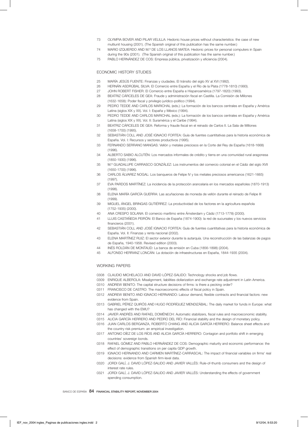- 73 OLYMPIA BOVER AND PILAR VELILLA: Hedonic house prices without characteristics: the case of new multiunit housing (2001). (The Spanish original of this publication has the same number.)
- 74 MARIO IZQUIERDO AND M.ª DE LOS LLANOS MATEA: Hedonic prices for personal computers in Spain during the 90s (2001). (The Spanish original of this publication has the same number.)
- 75 PABLO HERNÁNDEZ DE COS: Empresa pública, privatización y eficiencia (2004).

#### ECONOMIC HISTORY STUDIES

- 25 MARÍA JESÚS FUENTE: Finanzas y ciudades. El tránsito del siglo XV al XVI (1992).<br>26 HERNÁN ASDRÚBAL SILVA: El Comercio entre España y el Río de la Plata (1778-1
- HERNÁN ASDRÚBAL SILVA: El Comercio entre España y el Río de la Plata (1778-1810) (1993).
- 27 JOHN ROBERT FISHER: El Comercio entre España e Hispanoamérica (1797-1820) (1993).
- 28 BEATRIZ CÁRCELES DE GEA: Fraude y administración fiscal en Castilla. La Comisión de Millones (1632-1658): Poder fiscal y privilegio jurídico-político (1994).
- 29 PEDRO TEDDE AND CARLOS MARICHAL (eds.): La formación de los bancos centrales en España y América Latina (siglos XIX y XX). Vol. I: España y México (1994).
- 30 PEDRO TEDDE AND CARLOS MARICHAL (eds.): La formación de los bancos centrales en España y América Latina (siglos XIX y XX). Vol. II: Suramérica y el Caribe (1994).
- 31 BEATRIZ CÁRCELES DE GEA: Reforma y fraude fiscal en el reinado de Carlos II. La Sala de Millones (1658-1700) (1995).
- 32 SEBASTIÁN COLL AND JOSÉ IGNACIO FORTEA: Guía de fuentes cuantitativas para la historia económica de España. Vol. I: Recursos y sectores productivos (1995).
- 33 FERNANDO SERRANO MANGAS: Vellón y metales preciosos en la Corte del Rey de España (1618-1668) (1996).
- 34 ALBERTO SABIO ALCUTÉN: Los mercados informales de crédito y tierra en una comunidad rural aragonesa (1850-1930) (1996).
- 35 M.ª GUADALUPE CARRASCO GONZÁLEZ: Los instrumentos del comercio colonial en el Cádiz del siglo XVII (1650-1700) (1996).
- 36 CARLOS ÁLVAREZ NOGAL: Los banqueros de Felipe IV y los metales preciosos americanos (1621-1665) (1997).
- 37 EVA PARDOS MARTÍNEZ: La incidencia de la protección arancelaria en los mercados españoles (1870-1913) (1998).
- 38 ELENA MARÍA GARCÍA GUERRA: Las acuñaciones de moneda de vellón durante el reinado de Felipe III (1999).
- 39 MIGUEL ÁNGEL BRINGAS GUTIÉRREZ: La productividad de los factores en la agricultura española (1752-1935) (2000).
- 40 ANA CRESPO SOLANA: El comercio marítimo entre Ámsterdam y Cádiz (1713-1778) (2000).
- 41 LLUIS CASTAÑEDA PEIRÓN: El Banco de España (1874-1900): la red de sucursales y los nuevos servicios financieros (2001).
- 42 SEBASTIÁN COLL AND JOSÉ IGNACIO FORTEA: Guía de fuentes cuantitativas para la historia económica de España. Vol. II: Finanzas y renta nacional (2002).
- 43 ELENA MARTÍNEZ RUIZ: El sector exterior durante la autarquía. Una reconstrucción de las balanzas de pagos de España, 1940-1958. Revised edition (2003).
- 44 INÉS ROLDÁN DE MONTAUD: La banca de emisión en Cuba (1856-1898) (2004).
- 45 ALFONSO HERRANZ LONCÁN: La dotación de infraestructuras en España, 1844-1935 (2004).

#### WORKING PAPERS

- 0308 CLAUDIO MICHELACCI AND DAVID LÓPEZ-SALIDO: Technology shocks and job flows.
- 0309 ENRIQUE ALBEROLA: Misalignment, liabilities dollarization and exchange rate adjustment in Latin America.
- 0310 ANDREW BENITO: The capital structure decisions of firms: is there a pecking order?
- 0311 FRANCISCO DE CASTRO: The macroeconomic effects of fiscal policy in Spain.
- 0312 ANDREW BENITO AND IGNACIO HERNANDO: Labour demand, flexible contracts and financial factors: new evidence from Spain.
- 0313 GABRIEL PÉREZ QUIRÓS AND HUGO RODRÍGUEZ MENDIZÁBAL: The daily market for funds in Europe: what has changed with the EMU?
- 0314 JAVIER ANDRÉS AND RAFAEL DOMÉNECH: Automatic stabilizers, fiscal rules and macroeconomic stability.
- 0315 ALICIA GARCÍA HERRERO AND PEDRO DEL RÍO: Financial stability and the design of monetary policy.
- 0316 JUAN CARLOS BERGANZA, ROBERTO CHANG AND ALICIA GARCÍA HERRERO: Balance sheet effects and the country risk premium: an empirical investigation.
- 0317 ANTONIO DÍEZ DE LOS RÍOS AND ALICIA GARCÍA HERRERO: Contagion and portfolio shift in emerging countries' sovereign bonds.
- 0318 RAFAEL GÓMEZ AND PABLO HERNÁNDEZ DE COS: Demographic maturity and economic performance: the effect of demographic transitions on per capita GDP growth.
- 0319 IGNACIO HERNANDO AND CARMEN MARTÍNEZ-CARRASCAL: The impact of financial variables on firms' real decisions: evidence from Spanish firm-level data.
- 0320 JORDI GALÍ, J. DAVID LÓPEZ-SALIDO AND JAVIER VALLÉS: Rule-of-thumb consumers and the design of interest rate rules.
- 0321 JORDI GALÍ, J. DAVID LÓPEZ-SALIDO AND JAVIER VALLÉS: Understanding the effects of government spending consumption.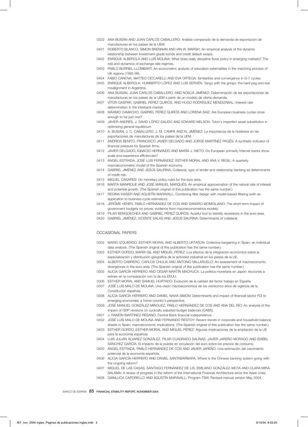- 0322 ANA BUISÁN AND JUAN CARLOS CABALLERO: Análisis comparado de la demanda de exportación de manufacturas en los países de la UEM.
- 0401 ROBERTO BLANCO, SIMON BRENNAN AND IAN W. MARSH: An empirical analysis of the dynamic relationship between investment-grade bonds and credit default swaps.
- 0402 ENRIQUE ALBEROLA AND LUIS MOLINA: What does really discipline fiscal policy in emerging markets? The role and dynamics of exchange rate regimes.
- 0403 PABLO BURRIEL-LLOMBART: An econometric analysis of education externalities in the matching process of UK regions (1992-99).
- 0404 FABIO CANOVA, MATTEO CICCARELLI AND EVA ORTEGA: Similarities and convergence in G-7 cycles.
- 0405 ENRIQUE ALBEROLA, HUMBERTO LÓPEZ AND LUIS SERVÉN: Tango with the gringo: the hard peg and real misalignment in Argentina.
- 0406 ANA BUISÁN, JUAN CARLOS CABALLERO, AND NOELIA JIMÉNEZ: Determinación de las exportaciones de manufacturas en los países de la UEM a partir de un modelo de oferta-demanda.
- 0407 VÍTOR GASPAR, GABRIEL PÉREZ QUIRÓS, AND HUGO RODRÍGUEZ MENDIZÁBAL: Interest rate determination in the interbank market.
- 0408 MÁXIMO CAMACHO, GABRIEL PÉREZ QUIRÓS AND LORENA SAIZ: Are European business cycles close enough to be just one?
- 0409 JAVIER ANDRÉS, J. DAVID LÓPEZ-SALIDO AND EDWARD NELSON. Tobin's imperfect asset substitution in optimizing general equilibrium
- 0410 A. BUISÁN, J. C. CABALLERO, J. M. CAMPA AND N. JIMÉNEZ: La importancia de la histéresis en las exportaciones de manufacturas de los países de la UEM.
- 0411 ANDREW BENITO, FRANCISCO JAVIER DELGADO AND JORGE MARTÍNEZ PAGÉS: A synthetic indicator of financial pressure for Spanish firms.
- 0412 JAVIER DELGADO, IGNACIO HERNANDO AND MARÍA J. NIETO: Do European primarily Internet banks show scale and experience efficiencies?
- 0413 ÁNGEL ESTRADA, JOSÉ LUIS FERNÁNDEZ, ESTHER MORAL AND ANA V. REGIL: A quarterly macroeconometric model of the Spanish economy.
- 0414 GABRIEL JIMÉNEZ AND JESÚS SAURINA: Collateral, type of lender and relationship banking as determinants of credit risk.
- 0415 MIGUEL CASARES: On monetary policy rules for the euro area.
- 0416 MARTA MANRIQUE AND JOSÉ MANUEL MARQUÉS: An empirical approximation of the natural rate of interest and potential growth. (The Spanish original of this publication has the same number.)
- 0417 REGINA KAISER AND AGUSTÍN MARAVALL: Combining filter design with model-based filtering (with an application to business-cycle estimation).
- 0418 JÉRÔME HENRY, PABLO HERNÁNDEZ DE COS AND SANDRO MOMIGLIANO: The short-term impact of government budgets on prices: evidence from macroeconometrics models.
- 0419 PILAR BENGOECHEA AND GABRIEL PÉREZ QUIRÓS: Auseful tool to identify recessions in the euro-area.
- 0420 GABRIEL JIMÉNEZ, VICENTE SALAS AND JESÚS SAURINA: Determinants of collateral.

### OCCASIONAL PAPERS

- 0302 MARIO IZQUIERDO, ESTHER MORAL AND ALBERTO URTASUN: Collective bargaining in Spain: an individual data analysis. (The Spanish original of this publication has the same number.)
- 0303 ESTHER GORDO, MARÍA GIL AND MIGUEL PÉREZ: Los efectos de la integración económica sobre la especialización y distribución geográfica de la actividad industrial en los países de la UE.
- 0304 ALBERTO CABRERO, CARLOS CHULIÁ AND ANTONIO MILLARUELO: An assessment of macroeconomic divergences in the euro area. (The Spanish original of this publication has the same number.)
- 0305 ALICIA GARCÍA HERRERO AND CÉSAR MARTÍN MACHUCA: La política monetaria en Japón: lecciones a extraer en la comparación con la de los EEUU.
- 0306 ESTHER MORAL AND SAMUEL HURTADO: Evolución de la calidad del factor trabajo en España.
- 0307 JOSÉ LUIS MALO DE MOLINA: Una visión macroeconómica de los veinticinco años de vigencia de la Constitución española.
- 0308 ALICIA GARCÍA HERRERO AND DANIEL NAVIA SIMÓN: Determinants and impact of financial sector FDI to emerging economies: a home country's perspective.
- 0309 JOSÉ MANUEL GONZÁLEZ-MÍNGUEZ, PABLO HERNÁNDEZ DE COS AND ANA DEL RÍO: An analysis of the impact of GDP revisions on cyclically adjusted budget balances (CABS).
- 0401 J. RAMÓN MARTÍNEZ-RESANO: Central Bank financial independence.
- 0402 JOSÉ LUIS MALO DE MOLINA AND FERNANDO RESTOY: Recent trends in corporate and household balance sheets in Spain: macroeconomic implications. (The Spanish original of this publication has the same number.)
- 0403 ESTHER GORDO, ESTHER MORAL AND MIGUEL PÉREZ: Algunas implicaciones de la ampliación de la UE para la economía española.
- 0404 LUIS JULIÁN ÁLVAREZ GONZÁLEZ, PILAR CUADRADO SALINAS, JAVIER JAREÑO MORAGO AND ISABEL SÁNCHEZ GARCÍA: El impacto de la puesta en circulación del euro sobre los precios de consumo.
- 0405 ÁNGEL ESTRADA, PABLO HERNÁNDEZ DE COS AND JAVIER JAREÑO: Una estimación del crecimiento potencial de la economía española.
- 0406 ALICIA GARCÍA-HERRERO AND DANIEL SANTABÁRBARA: Where is the Chinese banking system going with the ongoing reform?
- 0407 MIGUEL DE LAS CASAS, SANTIAGO FERNÁNDEZ DE LIS, EMILIANO GONZÁLEZ-MOTA AND CLARA MIRA-SALAMA: A review of progress in the reform of the International Financial Architecture since the Asian crisis.
- 0408 GIANLUCA CAPORELLO AND AGUSTÍN MARAVALL: Program TSW. Revised manual version May 2004.